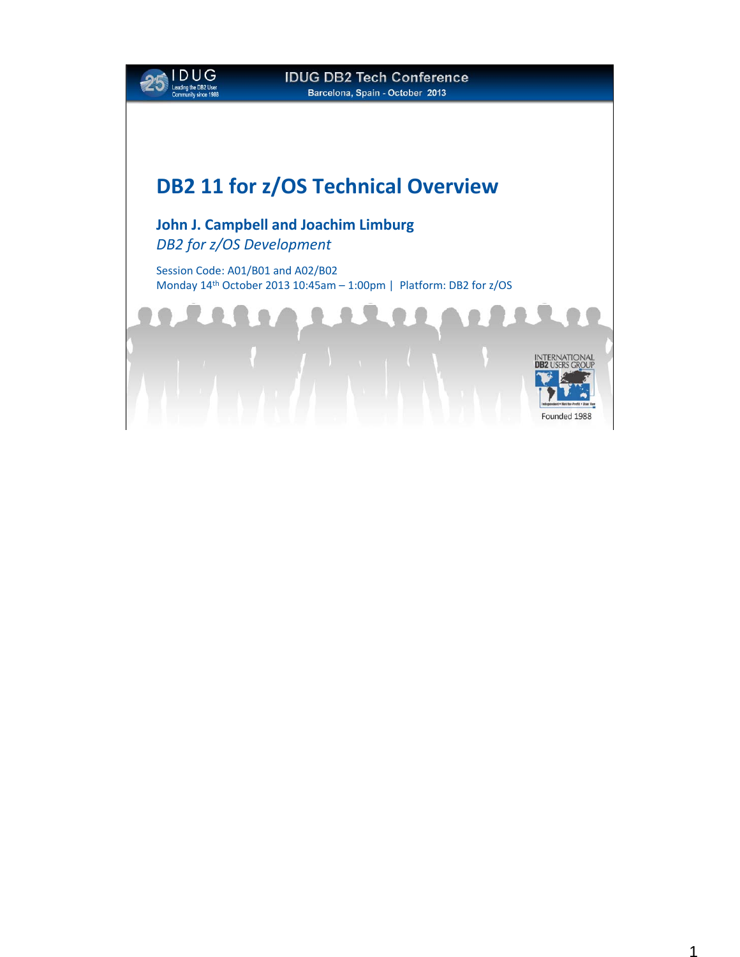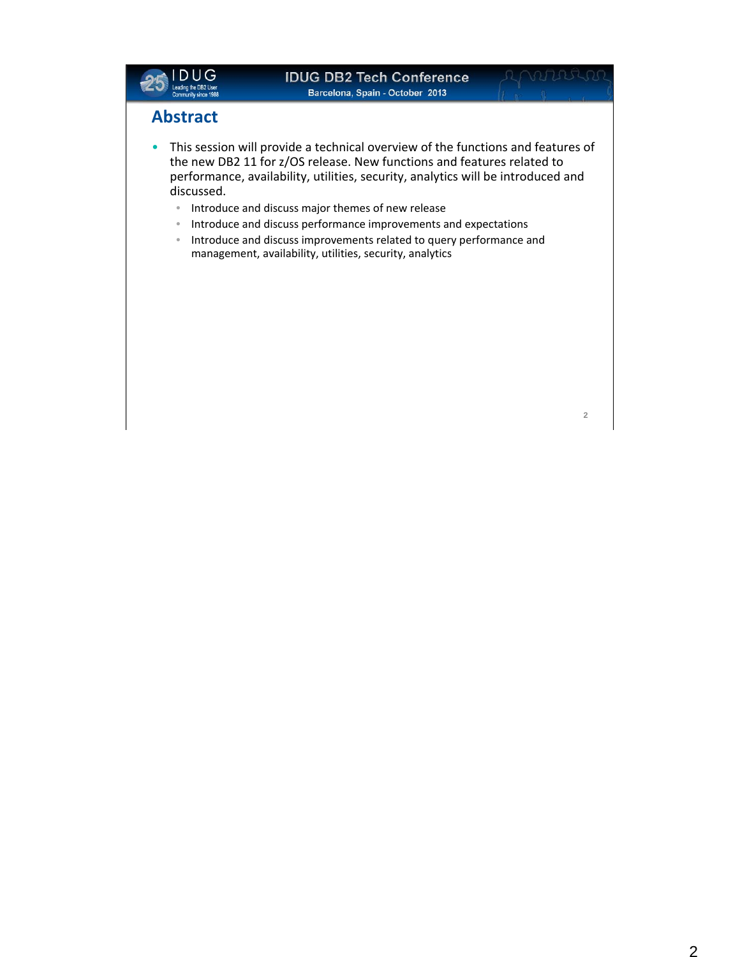

#### **IDUG DB2 Tech Conference Barcelona, Spain - October 2013**

**2**

#### **Abstract**

- This session will provide a technical overview of the functions and features of the new DB2 11 for z/OS release. New functions and features related to performance, availability, utilities, security, analytics will be introduced and discussed.
	- Introduce and discuss major themes of new release
	- Introduce and discuss performance improvements and expectations
	- Introduce and discuss improvements related to query performance and management, availability, utilities, security, analytics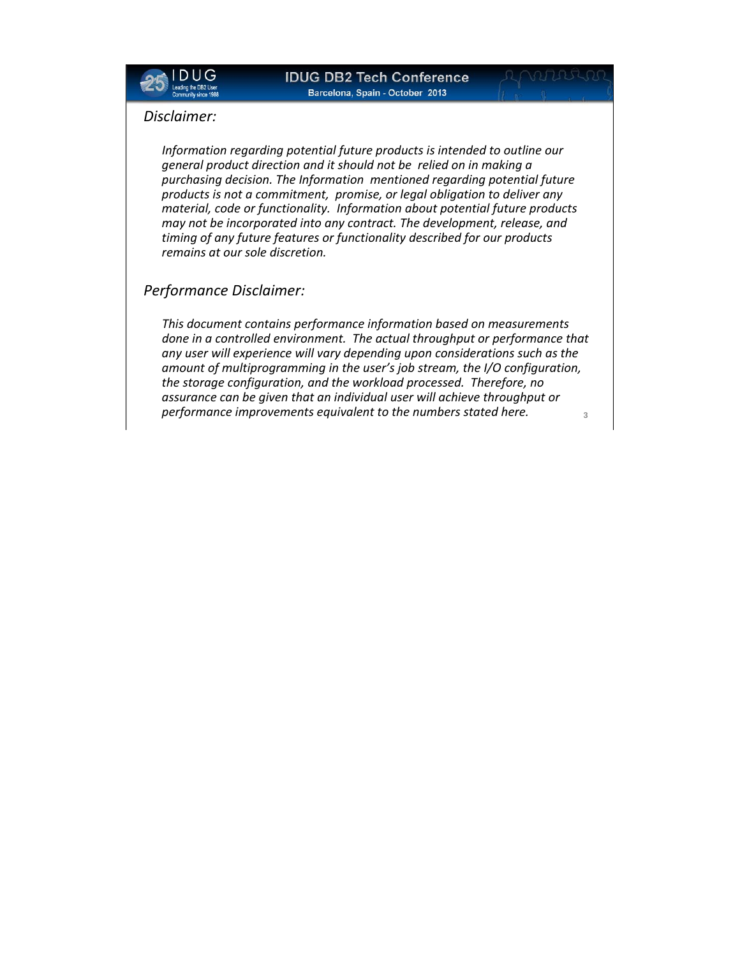

#### *Disclaimer:*

*Information regarding potential future products is intended to outline our general product direction and it should not be relied on in making a purchasing decision. The Information mentioned regarding potential future products is not a commitment, promise, or legal obligation to deliver any material, code or functionality. Information about potential future products may not be incorporated into any contract. The development, release, and timing of any future features or functionality described for our products remains at our sole discretion.*

#### *Performance Disclaimer:*

*This document contains performance information based on measurements done in a controlled environment. The actual throughput or performance that any user will experience will vary depending upon considerations such as the amount of multiprogramming in the user's job stream, the I/O configuration, the storage configuration, and the workload processed. Therefore, no assurance can be given that an individual user will achieve throughput or performance improvements equivalent to the numbers stated here.* **<sup>3</sup>**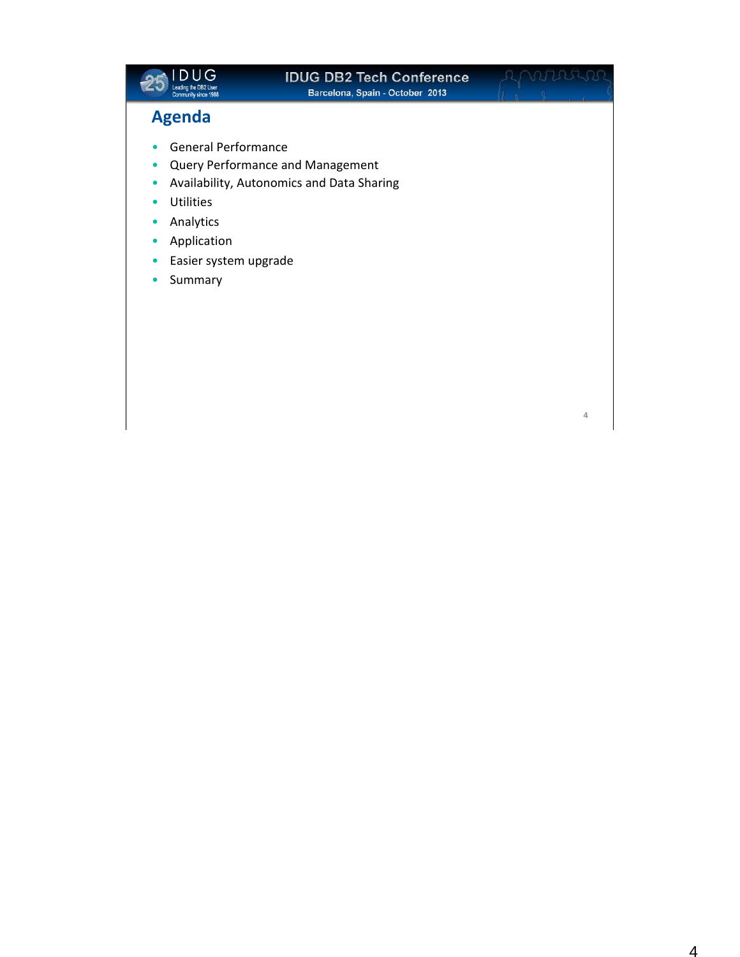| <b>IDUG DB2 Tech Conference</b> |
|---------------------------------|
|                                 |
|                                 |
|                                 |

**4**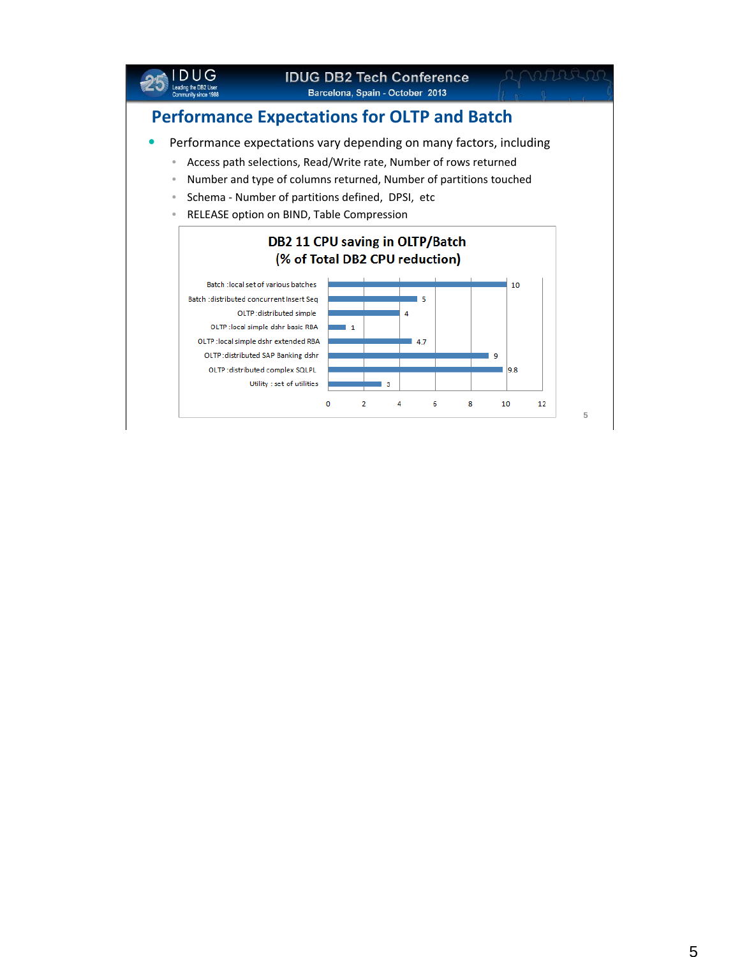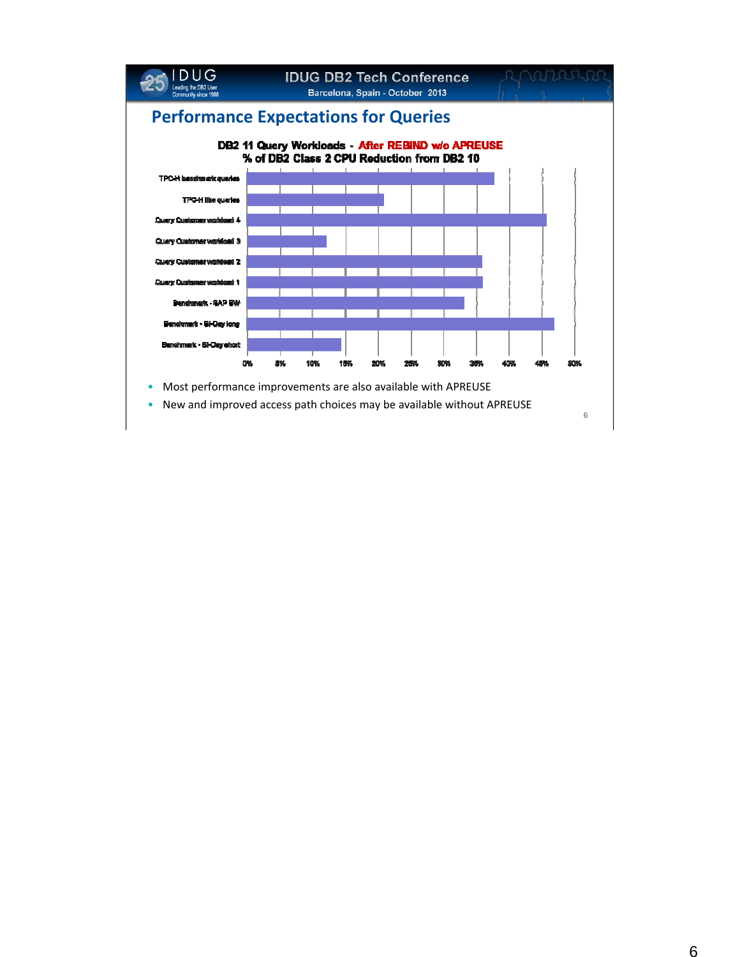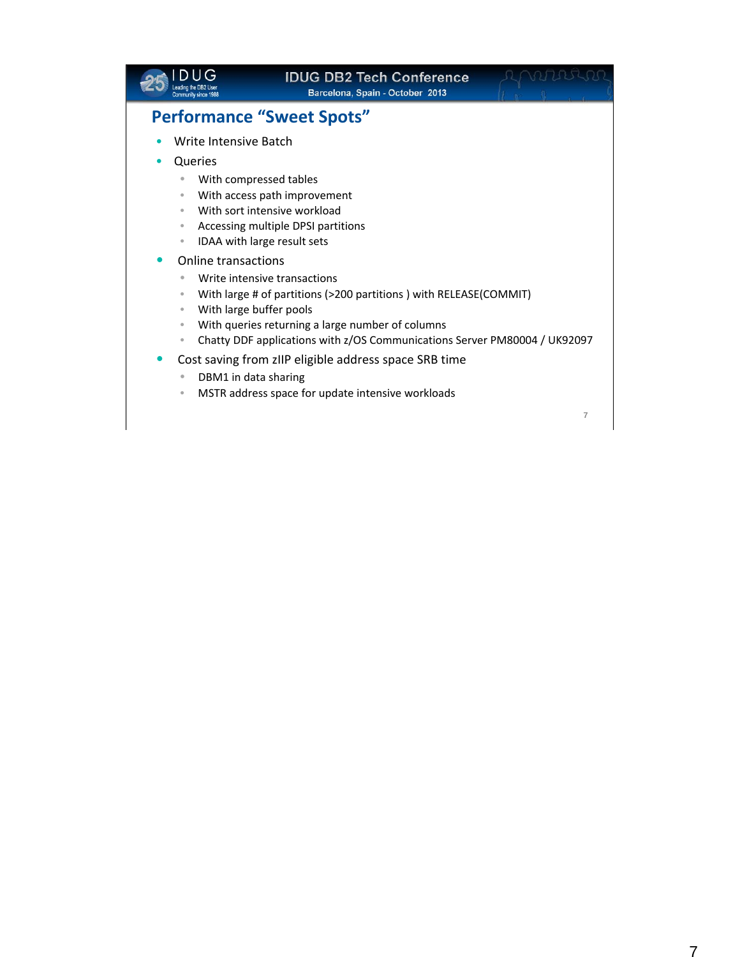|                                                    | <b>IDUG DB2 Tech Conference</b><br>Barcelona, Spain - October 2013        |                |
|----------------------------------------------------|---------------------------------------------------------------------------|----------------|
|                                                    | <b>Performance "Sweet Spots"</b>                                          |                |
| Write Intensive Batch                              |                                                                           |                |
| Queries                                            |                                                                           |                |
| $\bullet$                                          | With compressed tables                                                    |                |
| $\qquad \qquad \bullet$                            | With access path improvement                                              |                |
| $\bullet$                                          | With sort intensive workload                                              |                |
| $\qquad \qquad \bullet$<br>$\bullet$               | Accessing multiple DPSI partitions<br>IDAA with large result sets         |                |
| Online transactions                                |                                                                           |                |
| $\bullet$                                          | Write intensive transactions                                              |                |
| $\qquad \qquad \bullet$                            | With large # of partitions (>200 partitions) with RELEASE(COMMIT)         |                |
| With large buffer pools<br>$\qquad \qquad \bullet$ |                                                                           |                |
| $\qquad \qquad \bullet$                            | With queries returning a large number of columns                          |                |
| $\qquad \qquad \bullet$                            | Chatty DDF applications with z/OS Communications Server PM80004 / UK92097 |                |
|                                                    | Cost saving from zIIP eligible address space SRB time                     |                |
| DBM1 in data sharing<br>$\bullet$                  |                                                                           |                |
| $\qquad \qquad \bullet$                            | MSTR address space for update intensive workloads                         |                |
|                                                    |                                                                           | $\overline{7}$ |
|                                                    |                                                                           |                |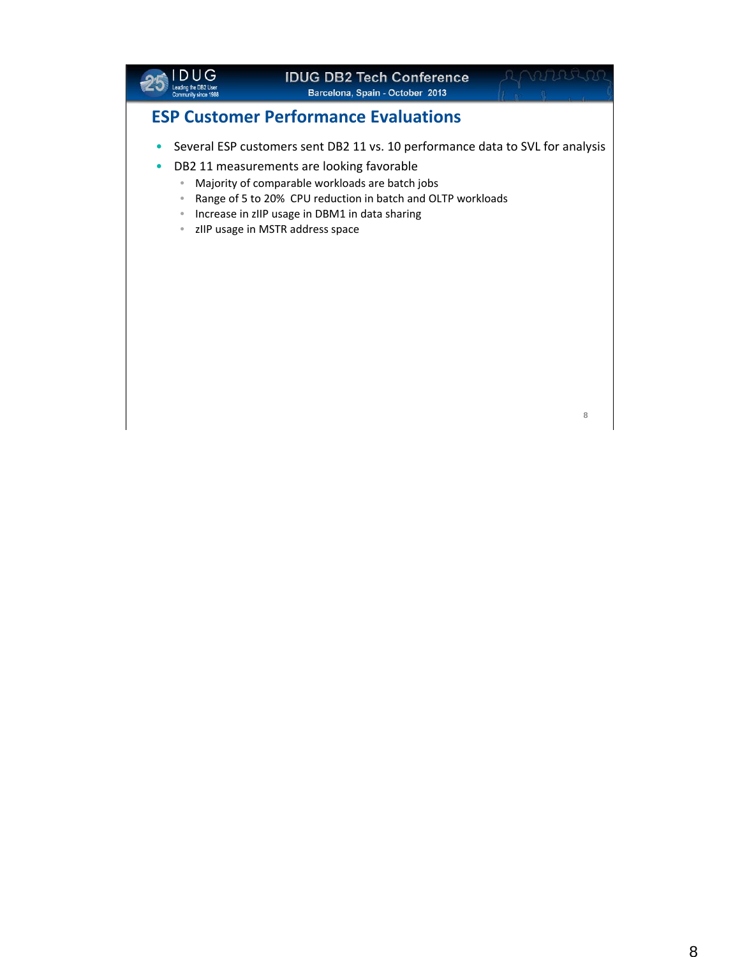

#### **IDUG DB2 Tech Conference Barcelona, Spain - October 2013**

**8**

### **ESP Customer Performance Evaluations**

- Several ESP customers sent DB2 11 vs. 10 performance data to SVL for analysis
- DB2 11 measurements are looking favorable
	- Majority of comparable workloads are batch jobs
	- Range of 5 to 20% CPU reduction in batch and OLTP workloads
	- Increase in zIIP usage in DBM1 in data sharing
	- zIIP usage in MSTR address space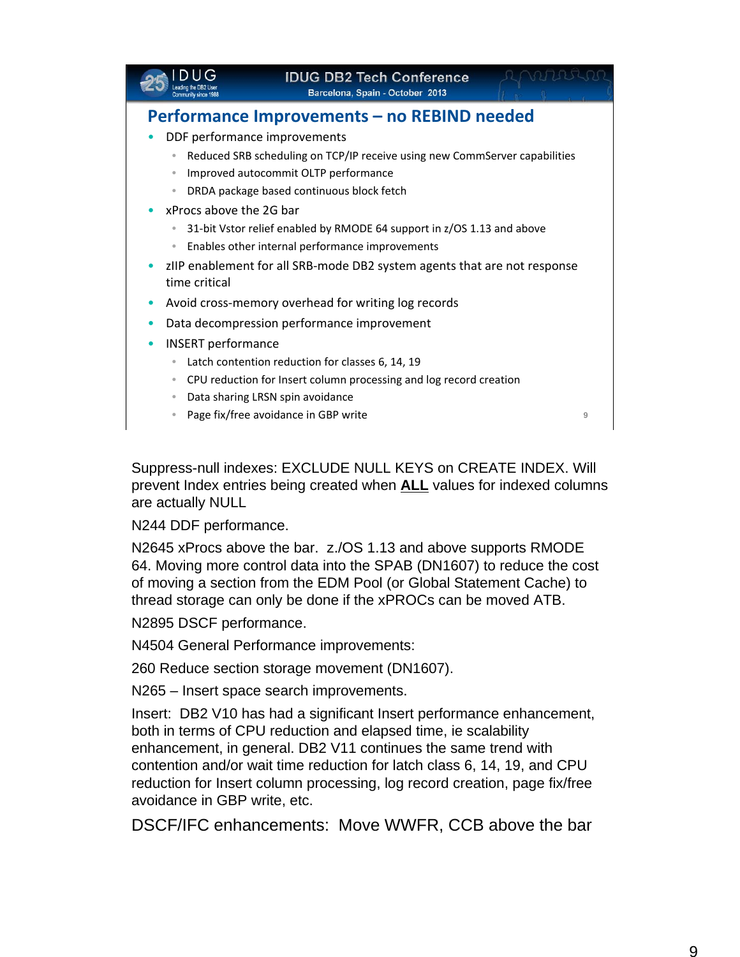|                                                                               | <b>IDUG DB2 Tech Conference</b><br>Barcelona, Spain - October 2013         |   |
|-------------------------------------------------------------------------------|----------------------------------------------------------------------------|---|
|                                                                               | Performance Improvements - no REBIND needed                                |   |
|                                                                               | DDF performance improvements                                               |   |
| $\qquad \qquad \bullet$                                                       | Reduced SRB scheduling on TCP/IP receive using new CommServer capabilities |   |
| $\color{black} \bullet$                                                       | Improved autocommit OLTP performance                                       |   |
|                                                                               | DRDA package based continuous block fetch                                  |   |
| xProcs above the 2G bar                                                       |                                                                            |   |
|                                                                               | 31-bit Vstor relief enabled by RMODE 64 support in z/OS 1.13 and above     |   |
| $\bullet$                                                                     | Enables other internal performance improvements                            |   |
| zIIP enablement for all SRB-mode DB2 system agents that are not response<br>۰ |                                                                            |   |
| time critical                                                                 |                                                                            |   |
| $\bullet$                                                                     | Avoid cross-memory overhead for writing log records                        |   |
|                                                                               | Data decompression performance improvement                                 |   |
| <b>INSERT</b> performance                                                     |                                                                            |   |
| $\bullet$                                                                     | Latch contention reduction for classes 6, 14, 19                           |   |
| $\bullet$                                                                     | CPU reduction for Insert column processing and log record creation         |   |
| $\bullet$                                                                     | Data sharing LRSN spin avoidance                                           |   |
|                                                                               | Page fix/free avoidance in GBP write                                       | 9 |
|                                                                               |                                                                            |   |

Suppress-null indexes: EXCLUDE NULL KEYS on CREATE INDEX. Will prevent Index entries being created when **ALL** values for indexed columns are actually NULL

N244 DDF performance.

N2645 xProcs above the bar. z./OS 1.13 and above supports RMODE 64. Moving more control data into the SPAB (DN1607) to reduce the cost of moving a section from the EDM Pool (or Global Statement Cache) to thread storage can only be done if the xPROCs can be moved ATB.

N2895 DSCF performance.

N4504 General Performance improvements:

260 Reduce section storage movement (DN1607).

N265 – Insert space search improvements.

Insert: DB2 V10 has had a significant Insert performance enhancement, both in terms of CPU reduction and elapsed time, ie scalability enhancement, in general. DB2 V11 continues the same trend with contention and/or wait time reduction for latch class 6, 14, 19, and CPU reduction for Insert column processing, log record creation, page fix/free avoidance in GBP write, etc.

DSCF/IFC enhancements: Move WWFR, CCB above the bar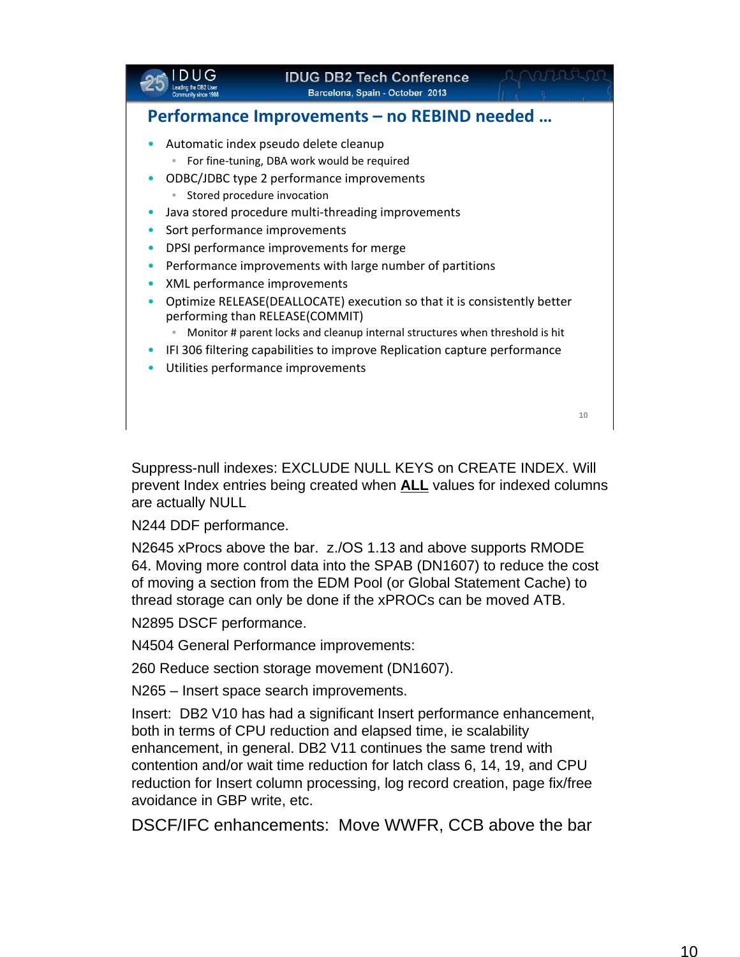

Suppress-null indexes: EXCLUDE NULL KEYS on CREATE INDEX. Will prevent Index entries being created when **ALL** values for indexed columns are actually NULL

N244 DDF performance.

N2645 xProcs above the bar. z./OS 1.13 and above supports RMODE 64. Moving more control data into the SPAB (DN1607) to reduce the cost of moving a section from the EDM Pool (or Global Statement Cache) to thread storage can only be done if the xPROCs can be moved ATB.

N2895 DSCF performance.

N4504 General Performance improvements:

260 Reduce section storage movement (DN1607).

N265 – Insert space search improvements.

Insert: DB2 V10 has had a significant Insert performance enhancement, both in terms of CPU reduction and elapsed time, ie scalability enhancement, in general. DB2 V11 continues the same trend with contention and/or wait time reduction for latch class 6, 14, 19, and CPU reduction for Insert column processing, log record creation, page fix/free avoidance in GBP write, etc.

DSCF/IFC enhancements: Move WWFR, CCB above the bar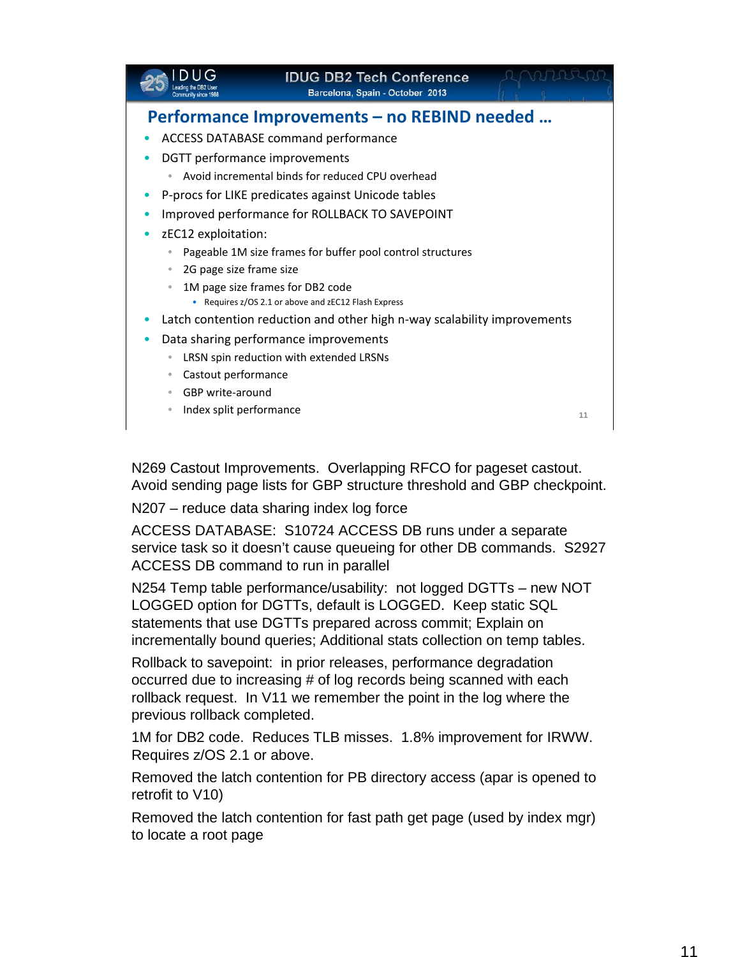|                                              | <b>IDUG DB2 Tech Conference</b><br>Barcelona, Spain - October 2013       |    |
|----------------------------------------------|--------------------------------------------------------------------------|----|
|                                              | <b>Performance Improvements - no REBIND needed </b>                      |    |
|                                              | <b>ACCESS DATABASE command performance</b>                               |    |
| DGTT performance improvements                |                                                                          |    |
|                                              | Avoid incremental binds for reduced CPU overhead                         |    |
|                                              | P-procs for LIKE predicates against Unicode tables                       |    |
|                                              | Improved performance for ROLLBACK TO SAVEPOINT                           |    |
| zEC12 exploitation:                          |                                                                          |    |
| $\bullet$                                    | Pageable 1M size frames for buffer pool control structures               |    |
| 2G page size frame size<br>$\bullet$         |                                                                          |    |
|                                              | 1M page size frames for DB2 code                                         |    |
| ٠                                            | Requires z/OS 2.1 or above and zEC12 Flash Express                       |    |
|                                              | Latch contention reduction and other high n-way scalability improvements |    |
|                                              | Data sharing performance improvements                                    |    |
| $\bullet$                                    | LRSN spin reduction with extended LRSNs                                  |    |
| Castout performance<br>$\qquad \qquad \circ$ |                                                                          |    |
| GBP write-around                             |                                                                          |    |
| Index split performance                      |                                                                          | 11 |
|                                              |                                                                          |    |

N269 Castout Improvements. Overlapping RFCO for pageset castout. Avoid sending page lists for GBP structure threshold and GBP checkpoint.

N207 – reduce data sharing index log force

ACCESS DATABASE: S10724 ACCESS DB runs under a separate service task so it doesn't cause queueing for other DB commands. S2927 ACCESS DB command to run in parallel

N254 Temp table performance/usability: not logged DGTTs – new NOT LOGGED option for DGTTs, default is LOGGED. Keep static SQL statements that use DGTTs prepared across commit; Explain on incrementally bound queries; Additional stats collection on temp tables.

Rollback to savepoint: in prior releases, performance degradation occurred due to increasing # of log records being scanned with each rollback request. In V11 we remember the point in the log where the previous rollback completed.

1M for DB2 code. Reduces TLB misses. 1.8% improvement for IRWW. Requires z/OS 2.1 or above.

Removed the latch contention for PB directory access (apar is opened to retrofit to V10)

Removed the latch contention for fast path get page (used by index mgr) to locate a root page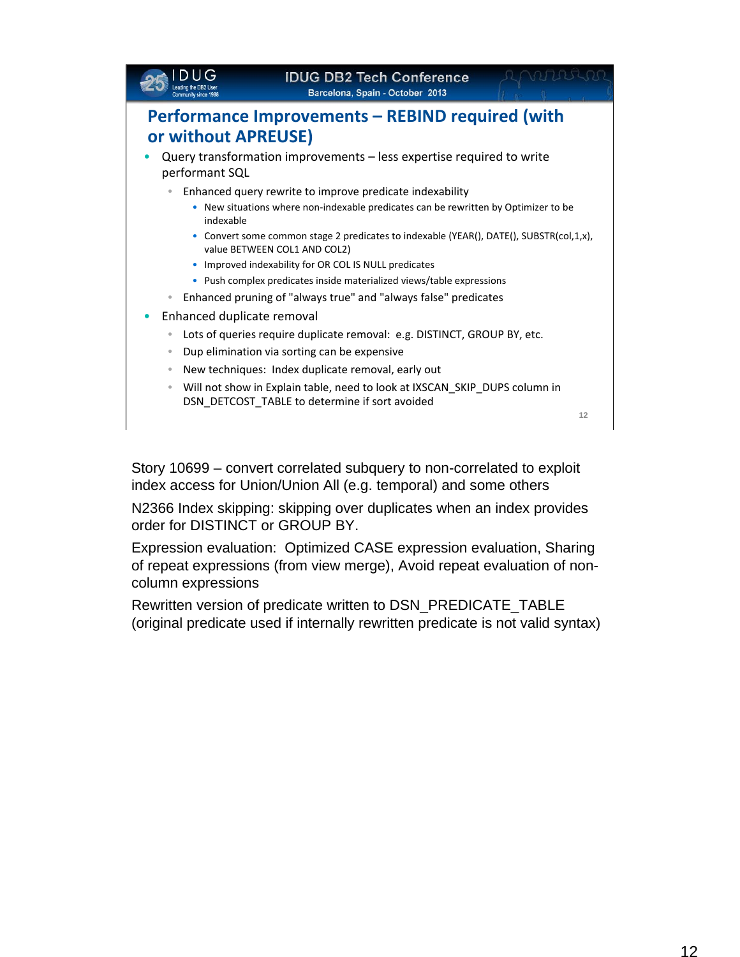|                            | <b>IDUG DB2 Tech Conference</b><br>Barcelona, Spain - October 2013                                                               |    |
|----------------------------|----------------------------------------------------------------------------------------------------------------------------------|----|
| or without APREUSE)        | Performance Improvements – REBIND required (with                                                                                 |    |
| performant SQL             | Query transformation improvements - less expertise required to write<br>Enhanced query rewrite to improve predicate indexability |    |
| indexable                  | • New situations where non-indexable predicates can be rewritten by Optimizer to be                                              |    |
|                            | • Convert some common stage 2 predicates to indexable (YEAR(), DATE(), SUBSTR(col,1,x),<br>value BETWEEN COL1 AND COL2)          |    |
|                            | • Improved indexability for OR COL IS NULL predicates                                                                            |    |
|                            | • Push complex predicates inside materialized views/table expressions                                                            |    |
|                            | Enhanced pruning of "always true" and "always false" predicates                                                                  |    |
| Enhanced duplicate removal |                                                                                                                                  |    |
| ۰                          | Lots of queries require duplicate removal: e.g. DISTINCT, GROUP BY, etc.                                                         |    |
| $\bullet$                  | Dup elimination via sorting can be expensive                                                                                     |    |
| $\bullet$                  | New techniques: Index duplicate removal, early out                                                                               |    |
| $\bullet$                  | Will not show in Explain table, need to look at IXSCAN_SKIP_DUPS column in<br>DSN_DETCOST_TABLE to determine if sort avoided     |    |
|                            |                                                                                                                                  | 12 |
|                            |                                                                                                                                  |    |

Story 10699 – convert correlated subquery to non-correlated to exploit index access for Union/Union All (e.g. temporal) and some others

N2366 Index skipping: skipping over duplicates when an index provides order for DISTINCT or GROUP BY.

Expression evaluation: Optimized CASE expression evaluation, Sharing of repeat expressions (from view merge), Avoid repeat evaluation of noncolumn expressions

Rewritten version of predicate written to DSN\_PREDICATE\_TABLE (original predicate used if internally rewritten predicate is not valid syntax)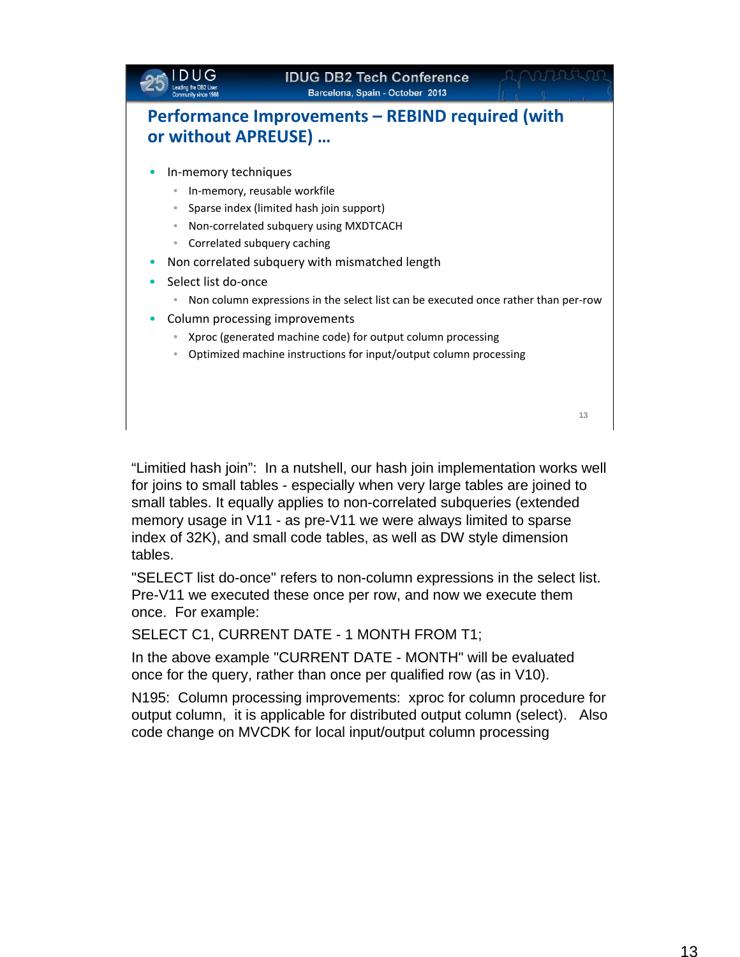

"Limitied hash join": In a nutshell, our hash join implementation works well for joins to small tables - especially when very large tables are joined to small tables. It equally applies to non-correlated subqueries (extended memory usage in V11 - as pre-V11 we were always limited to sparse index of 32K), and small code tables, as well as DW style dimension tables.

"SELECT list do-once" refers to non-column expressions in the select list. Pre-V11 we executed these once per row, and now we execute them once. For example:

SELECT C1, CURRENT DATE - 1 MONTH FROM T1;

In the above example "CURRENT DATE - MONTH" will be evaluated once for the query, rather than once per qualified row (as in V10).

N195: Column processing improvements: xproc for column procedure for output column, it is applicable for distributed output column (select). Also code change on MVCDK for local input/output column processing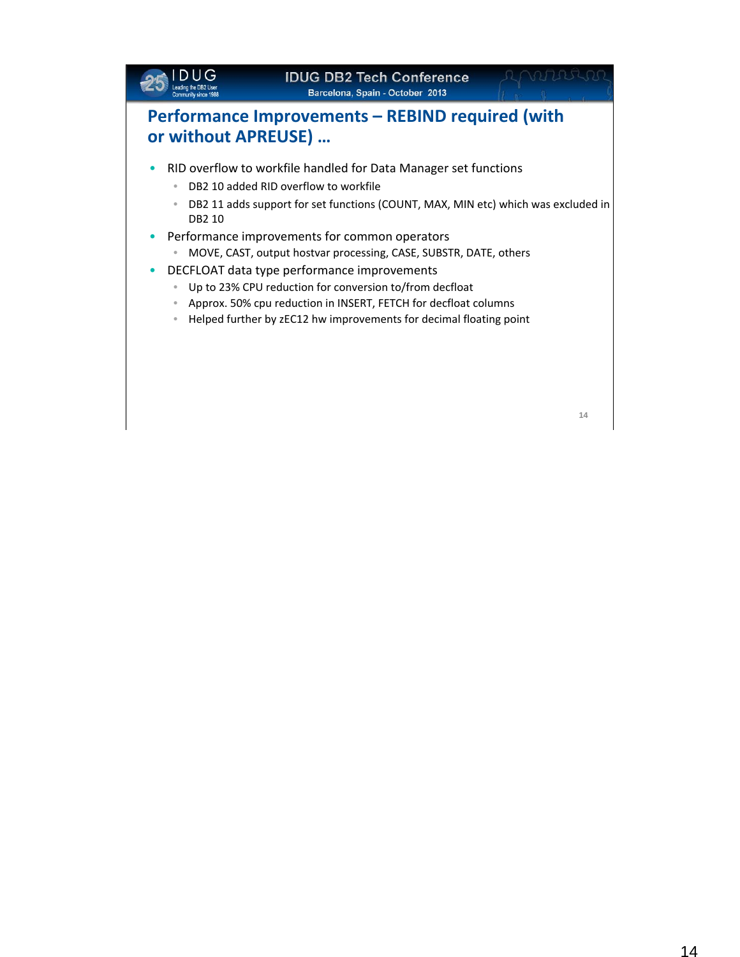### **IDUG DB2 Tech Conference Barcelona, Spain - October 2013 Performance Improvements – REBIND required (with or without APREUSE) …** • RID overflow to workfile handled for Data Manager set functions • DB2 10 added RID overflow to workfile • DB2 11 adds support for set functions (COUNT, MAX, MIN etc) which was excluded in DB2 10 • Performance improvements for common operators • MOVE, CAST, output hostvar processing, CASE, SUBSTR, DATE, others • DECFLOAT data type performance improvements • Up to 23% CPU reduction for conversion to/from decfloat • Approx. 50% cpu reduction in INSERT, FETCH for decfloat columns • Helped further by zEC12 hw improvements for decimal floating point

**14**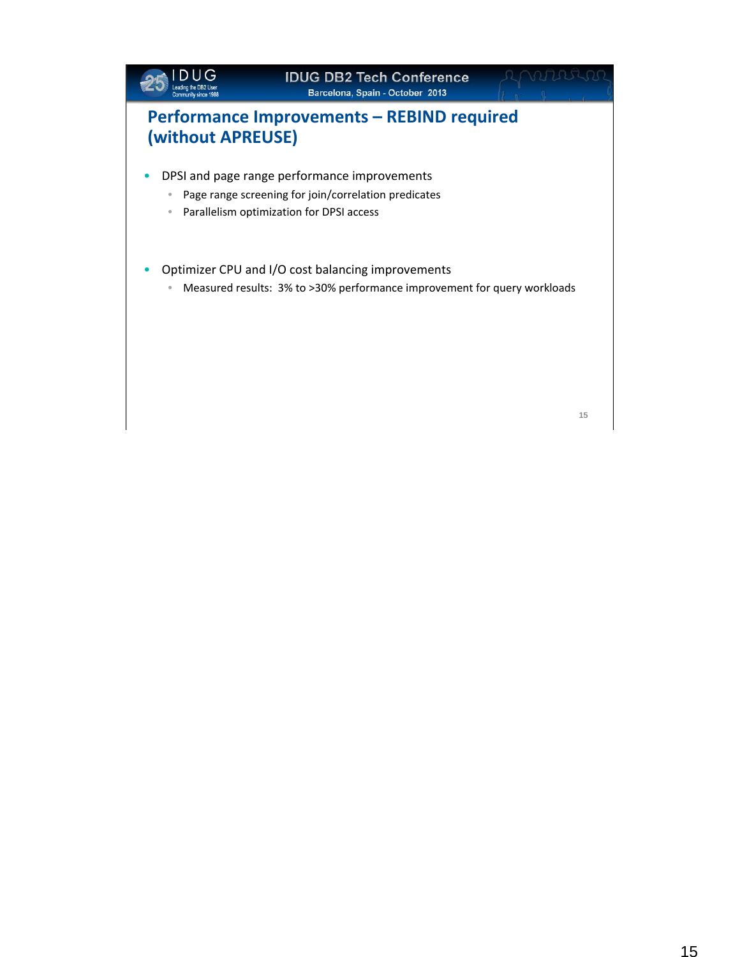

**15**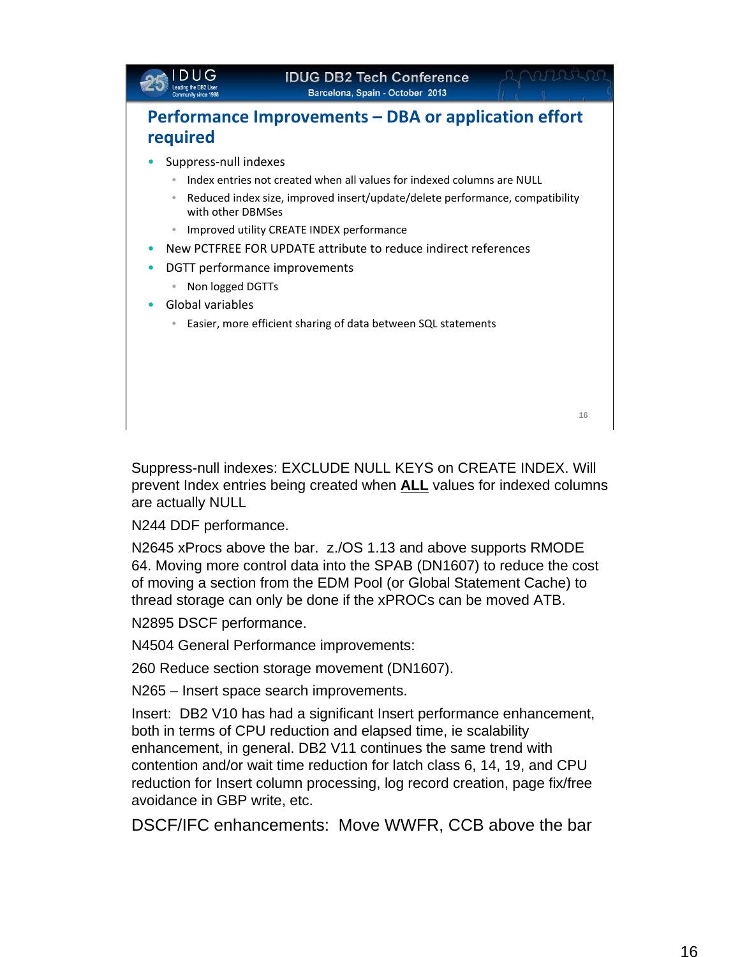

Suppress-null indexes: EXCLUDE NULL KEYS on CREATE INDEX. Will prevent Index entries being created when **ALL** values for indexed columns are actually NULL

N244 DDF performance.

N2645 xProcs above the bar. z./OS 1.13 and above supports RMODE 64. Moving more control data into the SPAB (DN1607) to reduce the cost of moving a section from the EDM Pool (or Global Statement Cache) to thread storage can only be done if the xPROCs can be moved ATB.

N2895 DSCF performance.

N4504 General Performance improvements:

260 Reduce section storage movement (DN1607).

N265 – Insert space search improvements.

Insert: DB2 V10 has had a significant Insert performance enhancement, both in terms of CPU reduction and elapsed time, ie scalability enhancement, in general. DB2 V11 continues the same trend with contention and/or wait time reduction for latch class 6, 14, 19, and CPU reduction for Insert column processing, log record creation, page fix/free avoidance in GBP write, etc.

DSCF/IFC enhancements: Move WWFR, CCB above the bar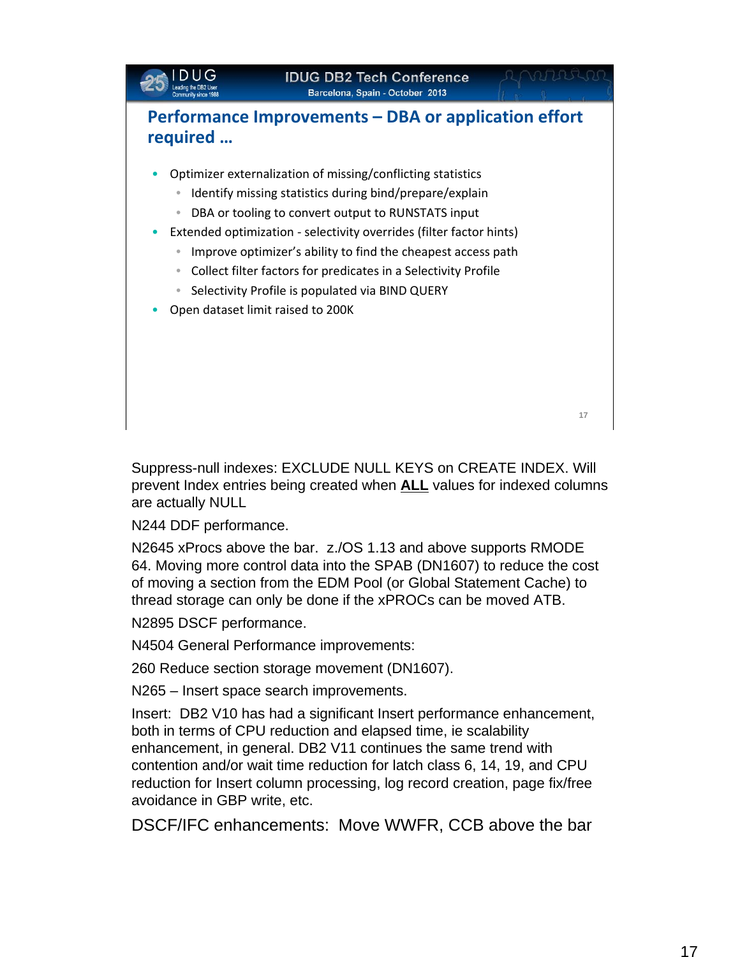

Suppress-null indexes: EXCLUDE NULL KEYS on CREATE INDEX. Will prevent Index entries being created when **ALL** values for indexed columns are actually NULL

N244 DDF performance.

N2645 xProcs above the bar. z./OS 1.13 and above supports RMODE 64. Moving more control data into the SPAB (DN1607) to reduce the cost of moving a section from the EDM Pool (or Global Statement Cache) to thread storage can only be done if the xPROCs can be moved ATB.

N2895 DSCF performance.

N4504 General Performance improvements:

260 Reduce section storage movement (DN1607).

N265 – Insert space search improvements.

Insert: DB2 V10 has had a significant Insert performance enhancement, both in terms of CPU reduction and elapsed time, ie scalability enhancement, in general. DB2 V11 continues the same trend with contention and/or wait time reduction for latch class 6, 14, 19, and CPU reduction for Insert column processing, log record creation, page fix/free avoidance in GBP write, etc.

DSCF/IFC enhancements: Move WWFR, CCB above the bar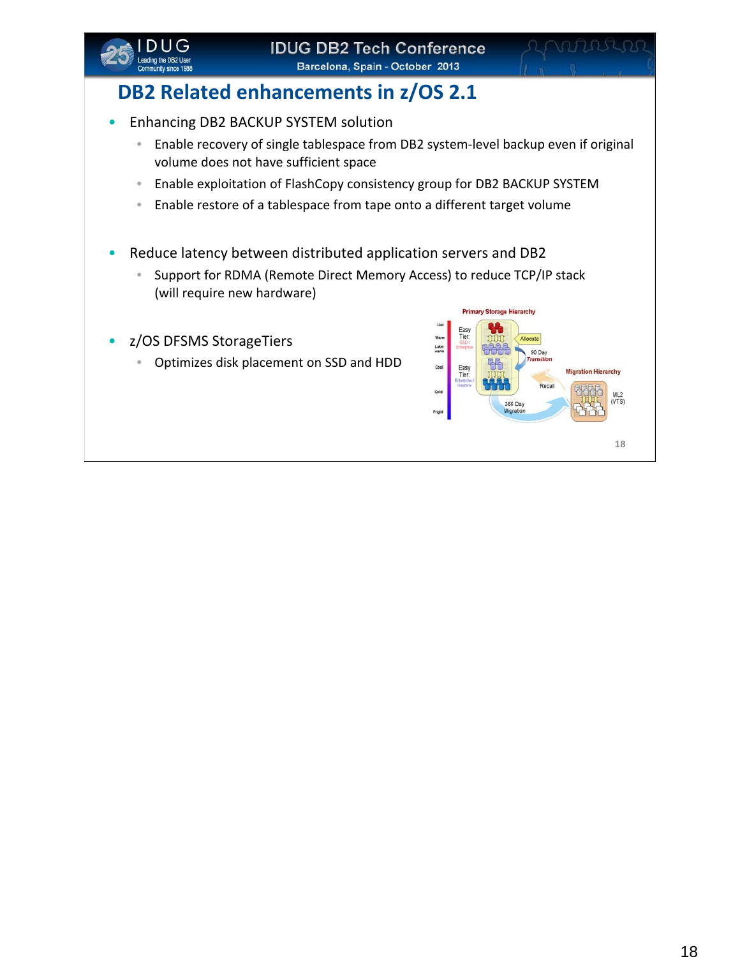

# **DB2 Related enhancements in z/OS 2.1**

- Enhancing DB2 BACKUP SYSTEM solution
	- Enable recovery of single tablespace from DB2 system‐level backup even if original volume does not have sufficient space
	- Enable exploitation of FlashCopy consistency group for DB2 BACKUP SYSTEM
	- Enable restore of a tablespace from tape onto a different target volume
- Reduce latency between distributed application servers and DB2
	- Support for RDMA (Remote Direct Memory Access) to reduce TCP/IP stack (will require new hardware)
- z/OS DFSMS StorageTiers
	- Optimizes disk placement on SSD and HDD

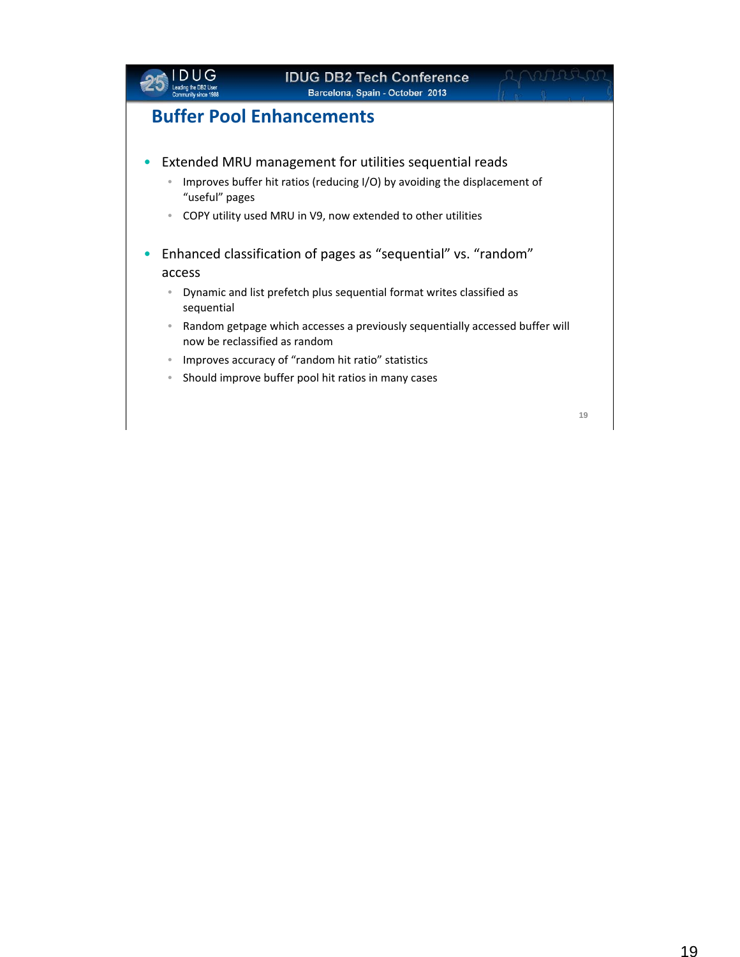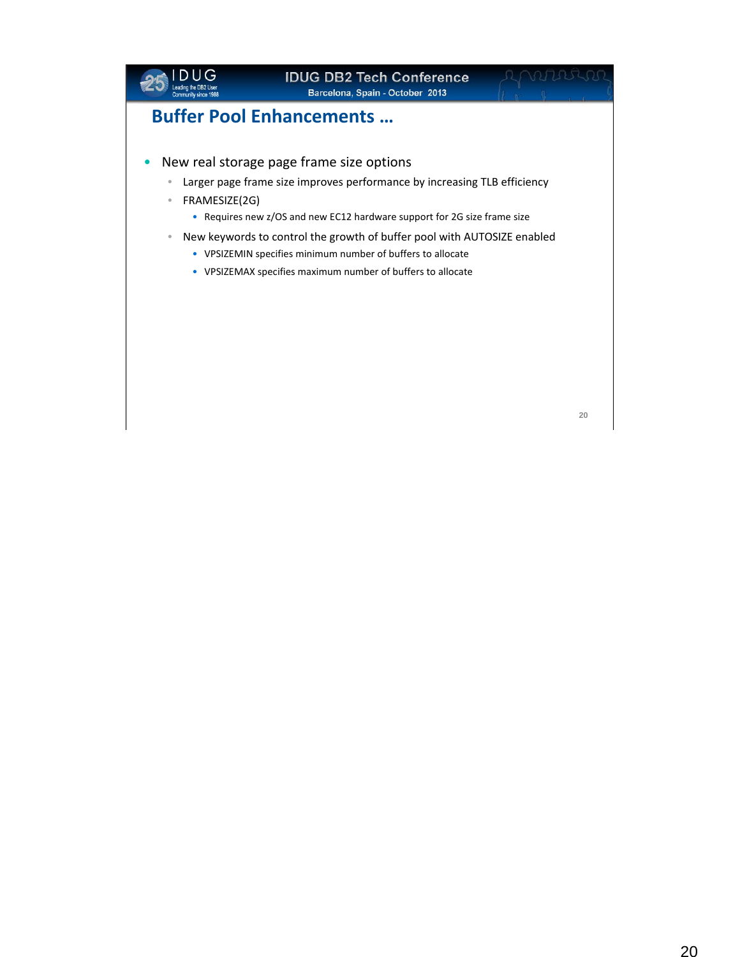

**20**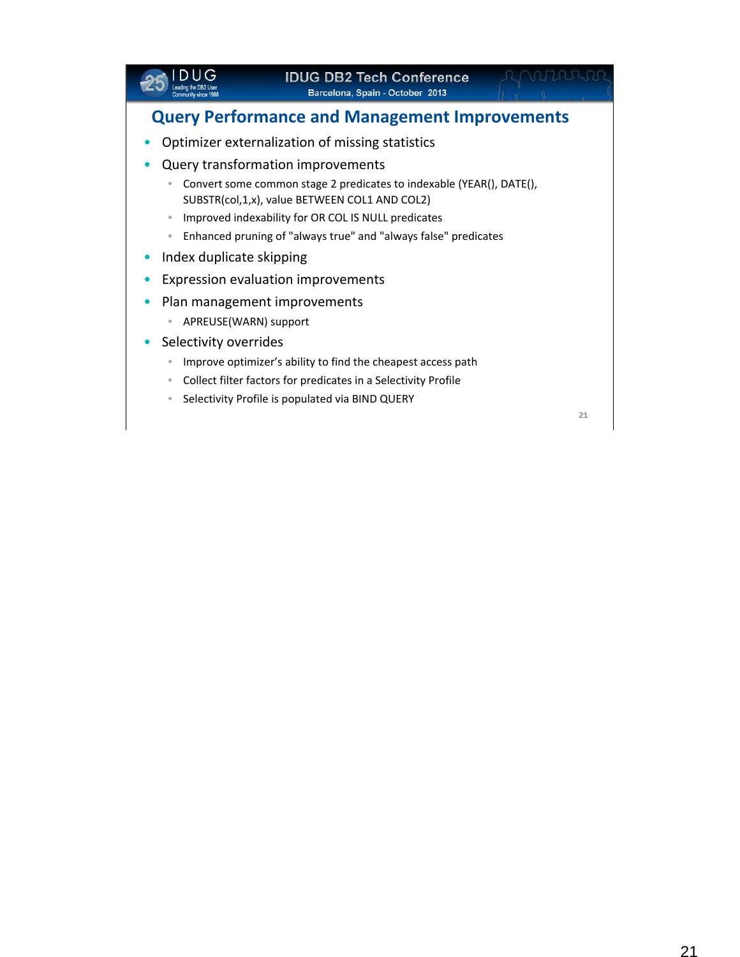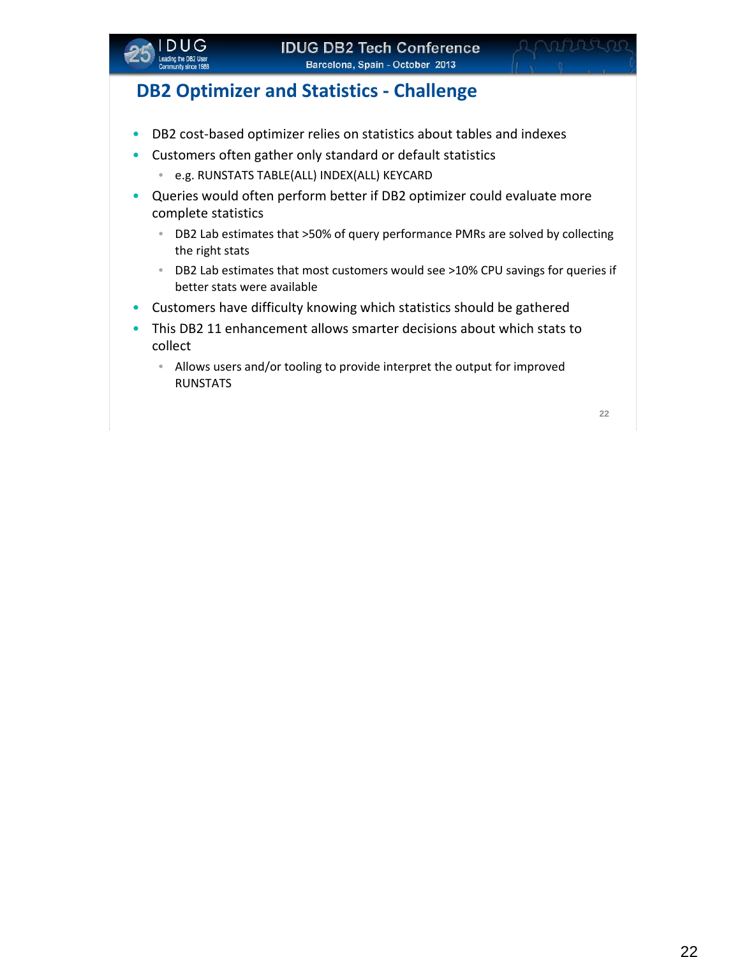

## **DB2 Optimizer and Statistics ‐ Challenge**

- DB2 cost-based optimizer relies on statistics about tables and indexes
- Customers often gather only standard or default statistics
	- e.g. RUNSTATS TABLE(ALL) INDEX(ALL) KEYCARD
- Queries would often perform better if DB2 optimizer could evaluate more complete statistics
	- DB2 Lab estimates that >50% of query performance PMRs are solved by collecting the right stats
	- DB2 Lab estimates that most customers would see >10% CPU savings for queries if better stats were available
- Customers have difficulty knowing which statistics should be gathered
- This DB2 11 enhancement allows smarter decisions about which stats to collect
	- Allows users and/or tooling to provide interpret the output for improved RUNSTATS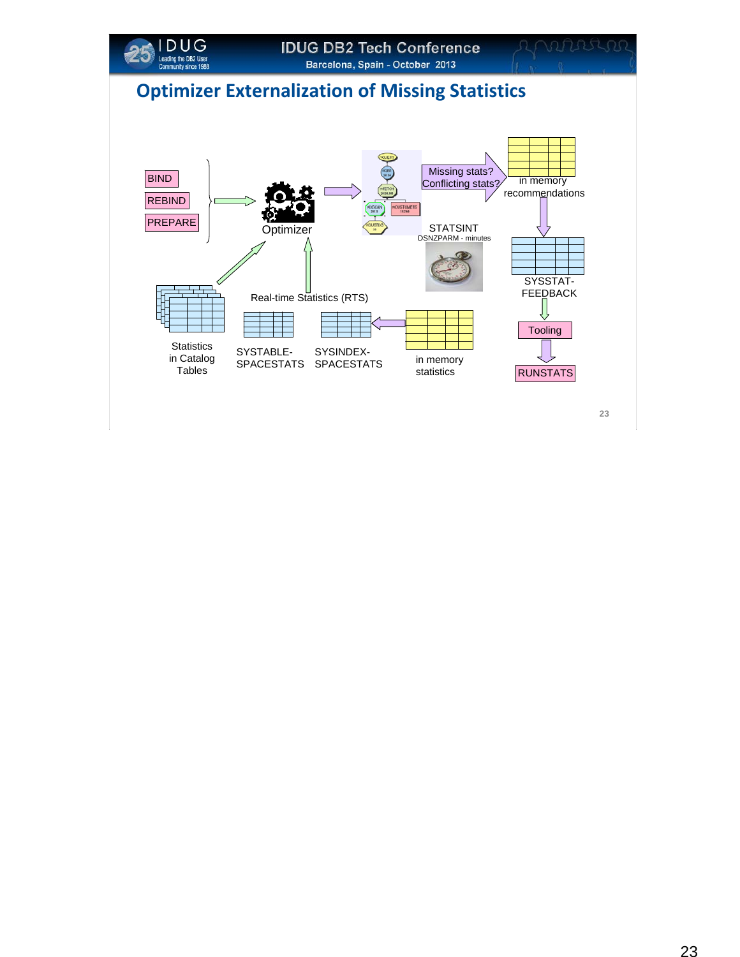

# **Optimizer Externalization of Missing Statistics**

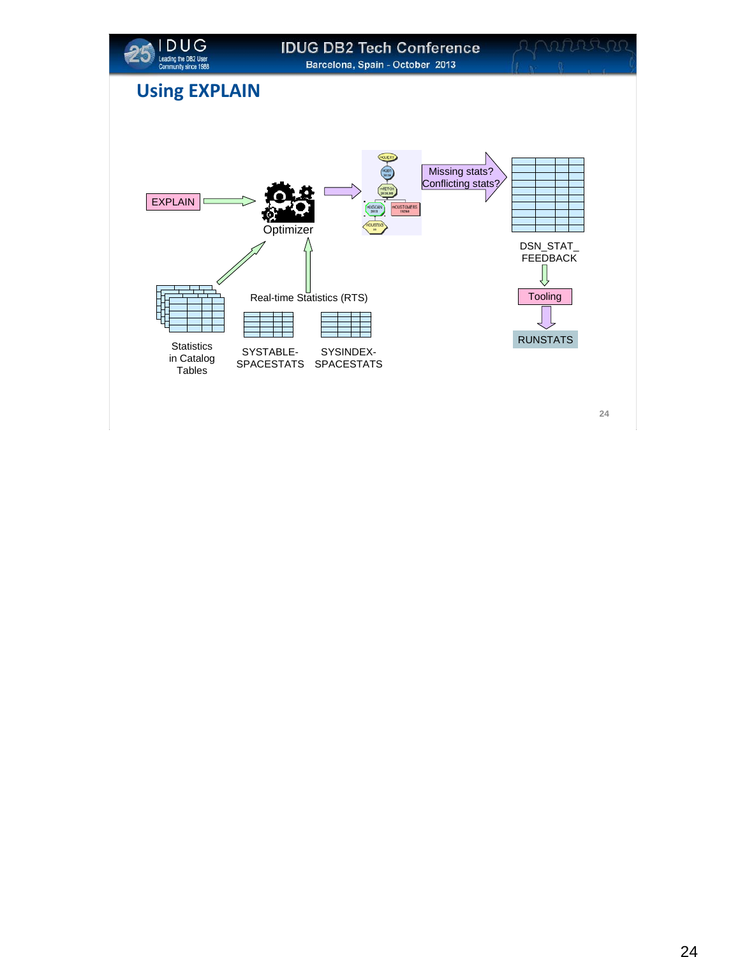

## **Using EXPLAIN**

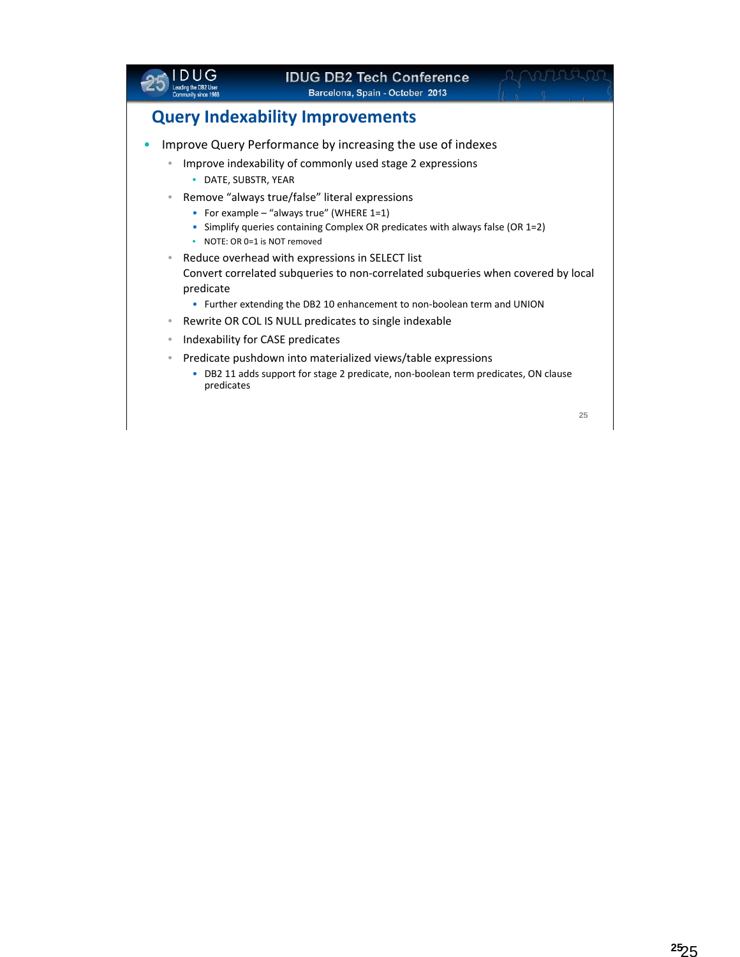|                                                                                        |                                                                                                           | <b>IDUG DB2 Tech Conference</b><br>Barcelona, Spain - October 2013                                                                                                                                                                                                                                                                                                                                                                                                                                                                                                                                                                                                                                                                        |    |
|----------------------------------------------------------------------------------------|-----------------------------------------------------------------------------------------------------------|-------------------------------------------------------------------------------------------------------------------------------------------------------------------------------------------------------------------------------------------------------------------------------------------------------------------------------------------------------------------------------------------------------------------------------------------------------------------------------------------------------------------------------------------------------------------------------------------------------------------------------------------------------------------------------------------------------------------------------------------|----|
|                                                                                        |                                                                                                           | <b>Query Indexability Improvements</b>                                                                                                                                                                                                                                                                                                                                                                                                                                                                                                                                                                                                                                                                                                    |    |
| $\bullet$<br>$\qquad \qquad \bullet$<br>۰<br>۰<br>$\bullet$<br>$\qquad \qquad \bullet$ | DATE, SUBSTR, YEAR<br>• NOTE: OR 0=1 is NOT removed<br>predicate<br>Indexability for CASE predicates<br>۰ | Improve Query Performance by increasing the use of indexes<br>Improve indexability of commonly used stage 2 expressions<br>Remove "always true/false" literal expressions<br>• For example $-$ "always true" (WHERE 1=1)<br>Simplify queries containing Complex OR predicates with always false (OR 1=2)<br>Reduce overhead with expressions in SELECT list<br>Convert correlated subqueries to non-correlated subqueries when covered by local<br>• Further extending the DB2 10 enhancement to non-boolean term and UNION<br>Rewrite OR COL IS NULL predicates to single indexable<br>Predicate pushdown into materialized views/table expressions<br>DB2 11 adds support for stage 2 predicate, non-boolean term predicates, ON clause |    |
|                                                                                        | predicates                                                                                                |                                                                                                                                                                                                                                                                                                                                                                                                                                                                                                                                                                                                                                                                                                                                           | 25 |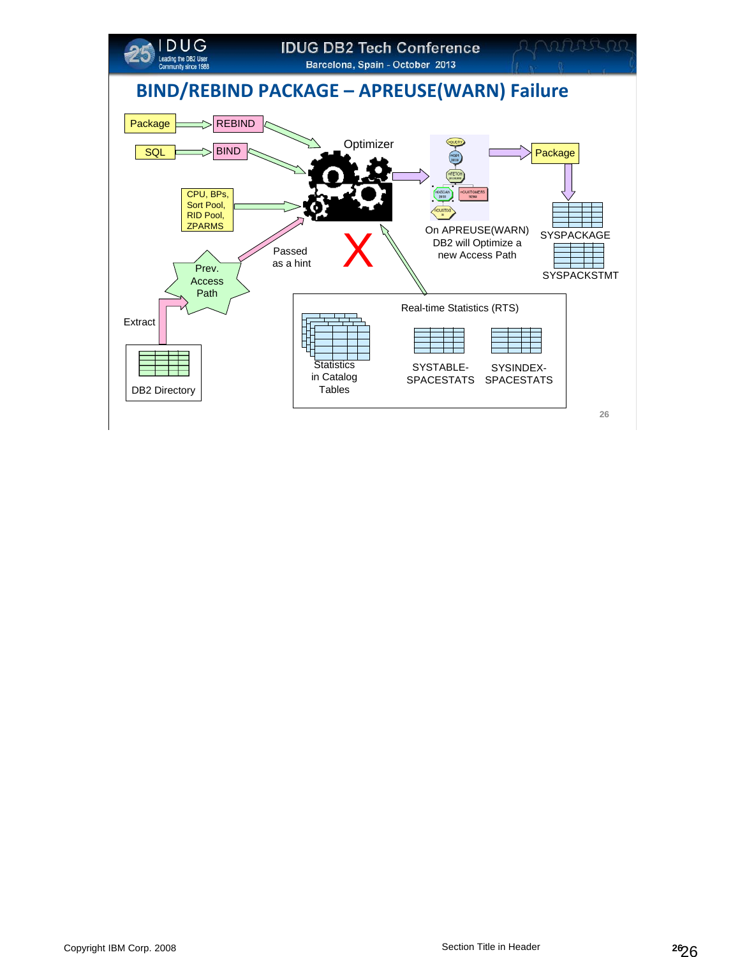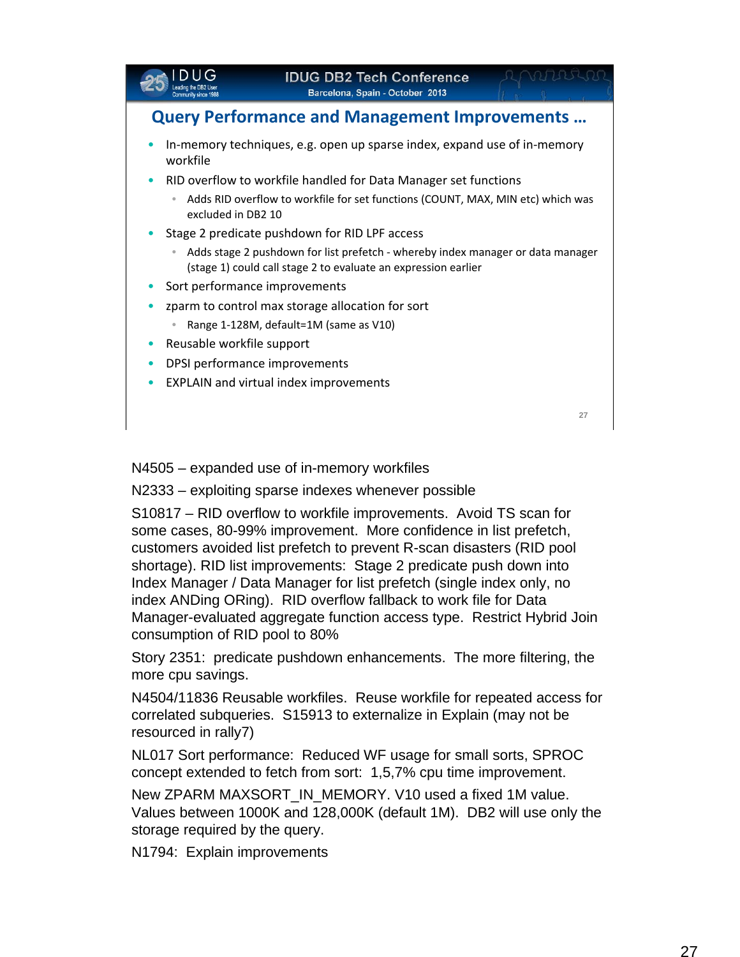

N4505 – expanded use of in-memory workfiles

N2333 – exploiting sparse indexes whenever possible

S10817 – RID overflow to workfile improvements. Avoid TS scan for some cases, 80-99% improvement. More confidence in list prefetch, customers avoided list prefetch to prevent R-scan disasters (RID pool shortage). RID list improvements: Stage 2 predicate push down into Index Manager / Data Manager for list prefetch (single index only, no index ANDing ORing). RID overflow fallback to work file for Data Manager-evaluated aggregate function access type. Restrict Hybrid Join consumption of RID pool to 80%

Story 2351: predicate pushdown enhancements. The more filtering, the more cpu savings.

N4504/11836 Reusable workfiles. Reuse workfile for repeated access for correlated subqueries. S15913 to externalize in Explain (may not be resourced in rally7)

NL017 Sort performance: Reduced WF usage for small sorts, SPROC concept extended to fetch from sort: 1,5,7% cpu time improvement.

New ZPARM MAXSORT IN MEMORY. V10 used a fixed 1M value. Values between 1000K and 128,000K (default 1M). DB2 will use only the storage required by the query.

N1794: Explain improvements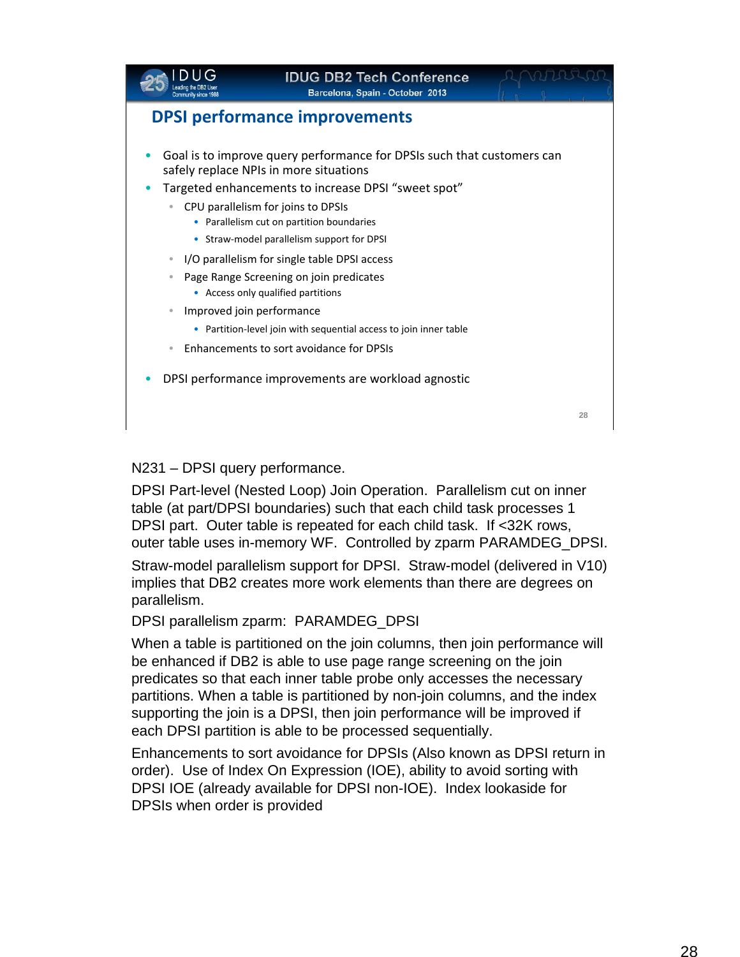

N231 – DPSI query performance.

DPSI Part-level (Nested Loop) Join Operation. Parallelism cut on inner table (at part/DPSI boundaries) such that each child task processes 1 DPSI part. Outer table is repeated for each child task. If <32K rows, outer table uses in-memory WF. Controlled by zparm PARAMDEG\_DPSI.

Straw-model parallelism support for DPSI. Straw-model (delivered in V10) implies that DB2 creates more work elements than there are degrees on parallelism.

DPSI parallelism zparm: PARAMDEG\_DPSI

When a table is partitioned on the join columns, then join performance will be enhanced if DB2 is able to use page range screening on the join predicates so that each inner table probe only accesses the necessary partitions. When a table is partitioned by non-join columns, and the index supporting the join is a DPSI, then join performance will be improved if each DPSI partition is able to be processed sequentially.

Enhancements to sort avoidance for DPSIs (Also known as DPSI return in order). Use of Index On Expression (IOE), ability to avoid sorting with DPSI IOE (already available for DPSI non-IOE). Index lookaside for DPSIs when order is provided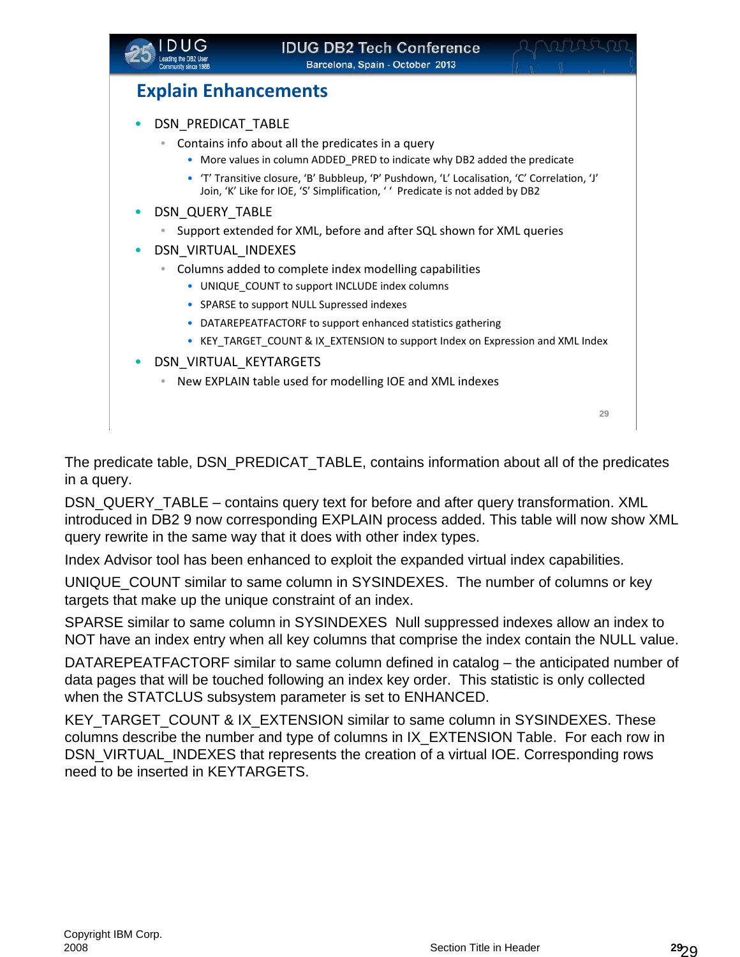

### **Explain Enhancements**

- DSN\_PREDICAT\_TABLE
	- Contains info about all the predicates in a query
		- More values in column ADDED\_PRED to indicate why DB2 added the predicate
		- 'T' Transitive closure, 'B' Bubbleup, 'P' Pushdown, 'L' Localisation, 'C' Correlation, 'J' Join, 'K' Like for IOE, 'S' Simplification, ' ' Predicate is not added by DB2
- DSN\_QUERY\_TABLE
	- Support extended for XML, before and after SQL shown for XML queries
- DSN\_VIRTUAL\_INDEXES
	- Columns added to complete index modelling capabilities
		- UNIQUE\_COUNT to support INCLUDE index columns
		- SPARSE to support NULL Supressed indexes
		- DATAREPEATFACTORF to support enhanced statistics gathering
		- KEY\_TARGET\_COUNT & IX\_EXTENSION to support Index on Expression and XML Index
- DSN\_VIRTUAL\_KEYTARGETS
	- New EXPLAIN table used for modelling IOE and XML indexes

**29**

The predicate table, DSN\_PREDICAT\_TABLE, contains information about all of the predicates in a query.

DSN\_QUERY\_TABLE – contains query text for before and after query transformation. XML introduced in DB2 9 now corresponding EXPLAIN process added. This table will now show XML query rewrite in the same way that it does with other index types.

Index Advisor tool has been enhanced to exploit the expanded virtual index capabilities.

UNIQUE\_COUNT similar to same column in SYSINDEXES. The number of columns or key targets that make up the unique constraint of an index.

SPARSE similar to same column in SYSINDEXES Null suppressed indexes allow an index to NOT have an index entry when all key columns that comprise the index contain the NULL value.

DATAREPEATFACTORF similar to same column defined in catalog – the anticipated number of data pages that will be touched following an index key order. This statistic is only collected when the STATCLUS subsystem parameter is set to ENHANCED.

KEY\_TARGET\_COUNT & IX\_EXTENSION similar to same column in SYSINDEXES. These columns describe the number and type of columns in IX\_EXTENSION Table. For each row in DSN\_VIRTUAL\_INDEXES that represents the creation of a virtual IOE. Corresponding rows need to be inserted in KEYTARGETS.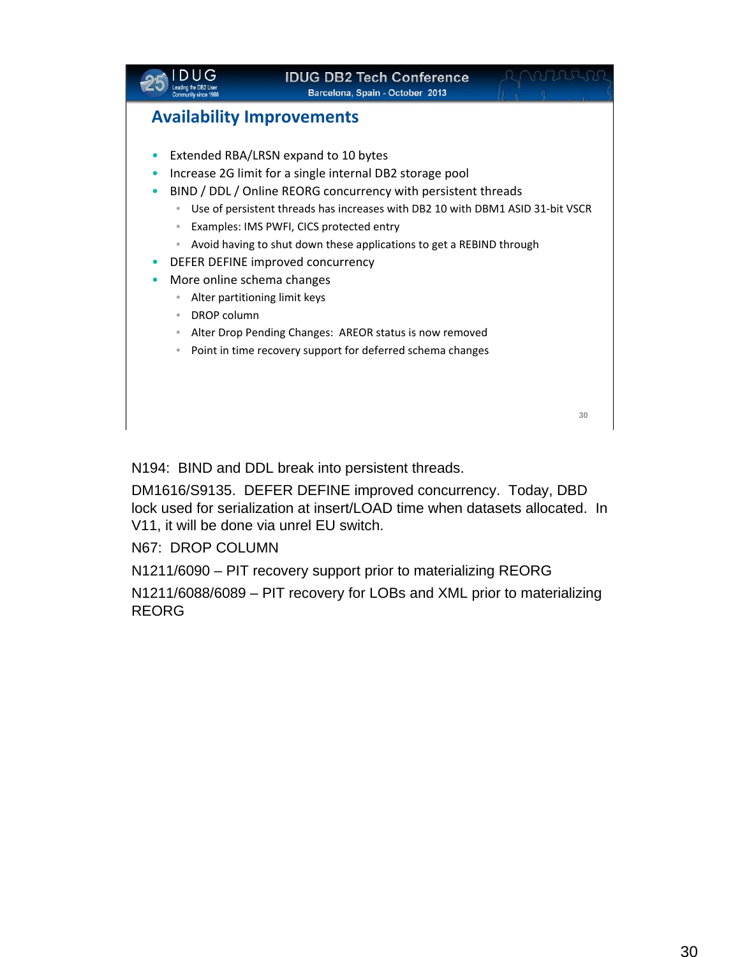

N194: BIND and DDL break into persistent threads.

DM1616/S9135. DEFER DEFINE improved concurrency. Today, DBD lock used for serialization at insert/LOAD time when datasets allocated. In V11, it will be done via unrel EU switch.

N67: DROP COLUMN

N1211/6090 – PIT recovery support prior to materializing REORG

N1211/6088/6089 – PIT recovery for LOBs and XML prior to materializing REORG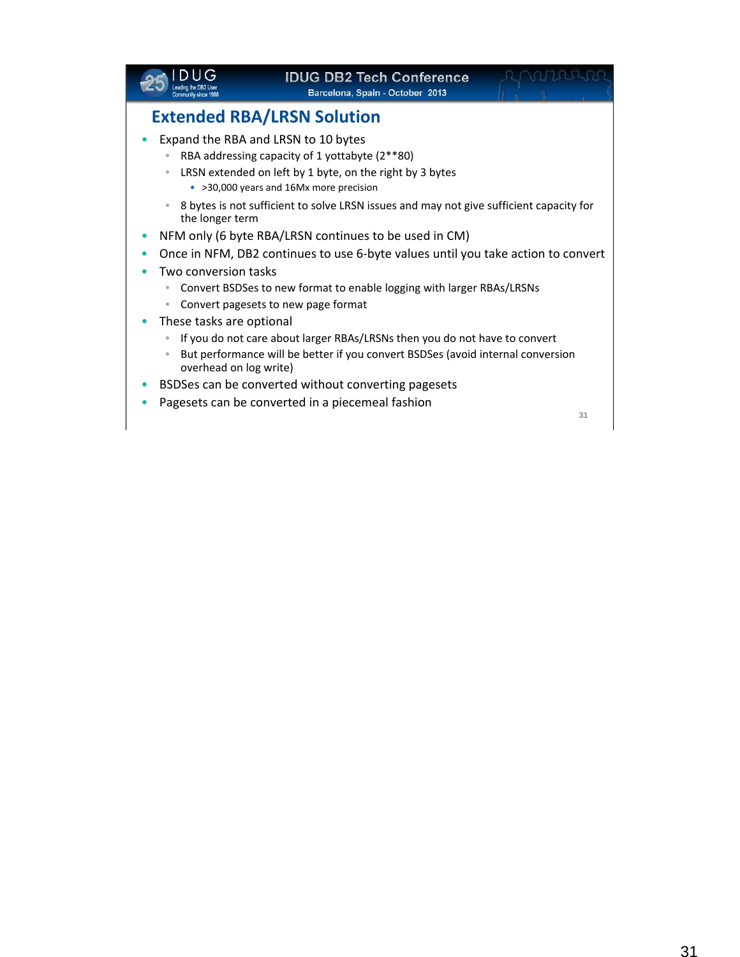|                          | <b>IDUG DB2 Tech Conference</b><br>Barcelona, Spain - October 2013                                                                                                                           |    |
|--------------------------|----------------------------------------------------------------------------------------------------------------------------------------------------------------------------------------------|----|
|                          | <b>Extended RBA/LRSN Solution</b>                                                                                                                                                            |    |
| $\qquad \qquad \bullet$  | Expand the RBA and LRSN to 10 bytes<br>RBA addressing capacity of 1 yottabyte (2**80)<br>LRSN extended on left by 1 byte, on the right by 3 bytes<br>• >30,000 years and 16Mx more precision |    |
| the longer term          | 8 bytes is not sufficient to solve LRSN issues and may not give sufficient capacity for                                                                                                      |    |
|                          | NFM only (6 byte RBA/LRSN continues to be used in CM)                                                                                                                                        |    |
|                          | Once in NFM, DB2 continues to use 6-byte values until you take action to convert                                                                                                             |    |
| Two conversion tasks     |                                                                                                                                                                                              |    |
| $\qquad \qquad \bullet$  | Convert BSDSes to new format to enable logging with larger RBAs/LRSNs<br>Convert pagesets to new page format                                                                                 |    |
| These tasks are optional |                                                                                                                                                                                              |    |
|                          | If you do not care about larger RBAs/LRSNs then you do not have to convert                                                                                                                   |    |
| overhead on log write)   | But performance will be better if you convert BSDSes (avoid internal conversion                                                                                                              |    |
|                          | BSDSes can be converted without converting pagesets                                                                                                                                          |    |
|                          | Pagesets can be converted in a piecemeal fashion                                                                                                                                             |    |
|                          |                                                                                                                                                                                              | 31 |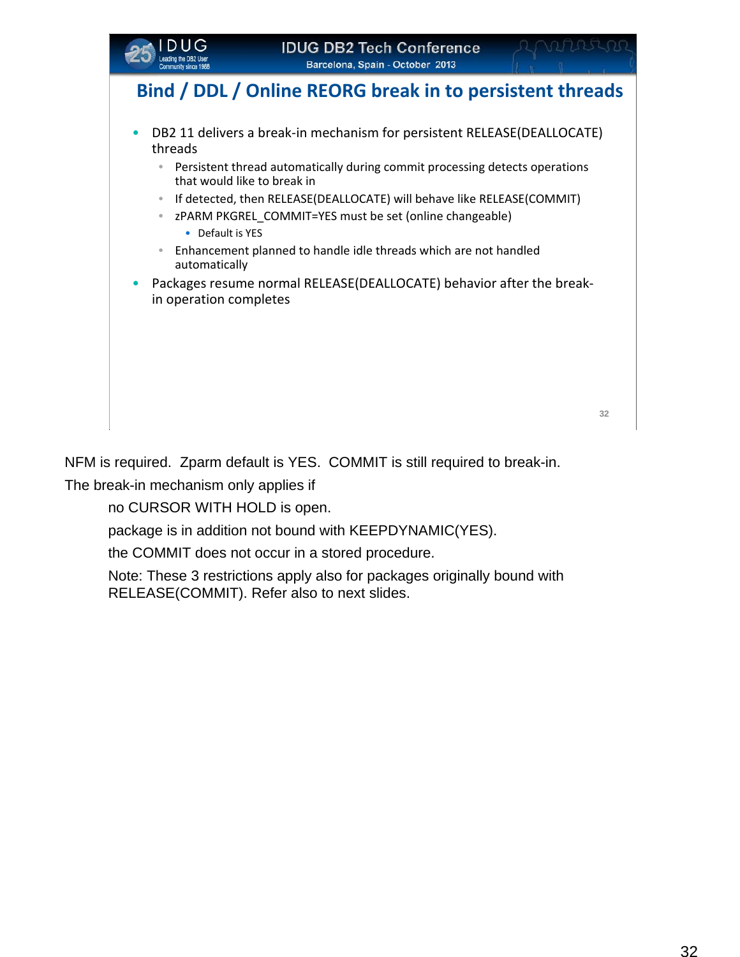

## **Bind / DDL / Online REORG break in to persistent threads**

- DB2 11 delivers a break-in mechanism for persistent RELEASE(DEALLOCATE) threads
	- Persistent thread automatically during commit processing detects operations that would like to break in
	- If detected, then RELEASE(DEALLOCATE) will behave like RELEASE(COMMIT)
		- zPARM PKGREL\_COMMIT=YES must be set (online changeable)
		- Default is YES
	- Enhancement planned to handle idle threads which are not handled automatically
- Packages resume normal RELEASE(DEALLOCATE) behavior after the breakin operation completes

NFM is required. Zparm default is YES. COMMIT is still required to break-in.

The break-in mechanism only applies if

no CURSOR WITH HOLD is open.

package is in addition not bound with KEEPDYNAMIC(YES).

the COMMIT does not occur in a stored procedure.

Note: These 3 restrictions apply also for packages originally bound with RELEASE(COMMIT). Refer also to next slides.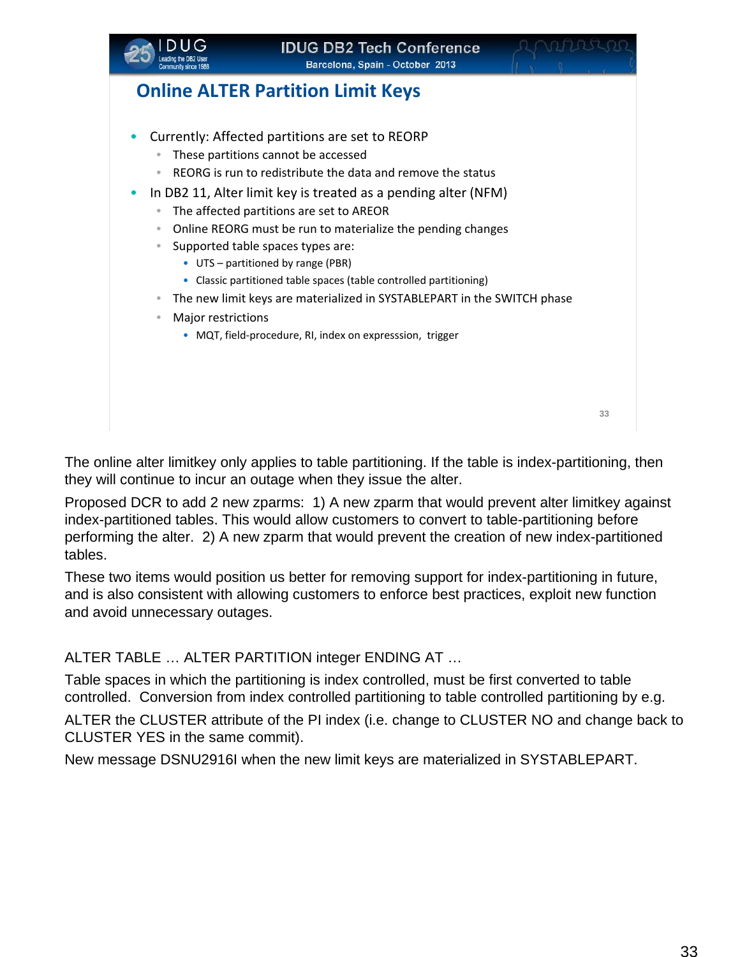

## **Online ALTER Partition Limit Keys**

- Currently: Affected partitions are set to REORP
	- These partitions cannot be accessed
	- REORG is run to redistribute the data and remove the status
- In DB2 11, Alter limit key is treated as a pending alter (NFM)
	- The affected partitions are set to AREOR
	- Online REORG must be run to materialize the pending changes
	- Supported table spaces types are:
		- UTS partitioned by range (PBR)
		- Classic partitioned table spaces (table controlled partitioning)
	- The new limit keys are materialized in SYSTABLEPART in the SWITCH phase
	- Major restrictions
		- MQT, field‐procedure, RI, index on expresssion, trigger

**33**

The online alter limitkey only applies to table partitioning. If the table is index-partitioning, then they will continue to incur an outage when they issue the alter.

Proposed DCR to add 2 new zparms: 1) A new zparm that would prevent alter limitkey against index-partitioned tables. This would allow customers to convert to table-partitioning before performing the alter. 2) A new zparm that would prevent the creation of new index-partitioned tables.

These two items would position us better for removing support for index-partitioning in future, and is also consistent with allowing customers to enforce best practices, exploit new function and avoid unnecessary outages.

ALTER TABLE … ALTER PARTITION integer ENDING AT …

Table spaces in which the partitioning is index controlled, must be first converted to table controlled. Conversion from index controlled partitioning to table controlled partitioning by e.g.

ALTER the CLUSTER attribute of the PI index (i.e. change to CLUSTER NO and change back to CLUSTER YES in the same commit).

New message DSNU2916I when the new limit keys are materialized in SYSTABLEPART.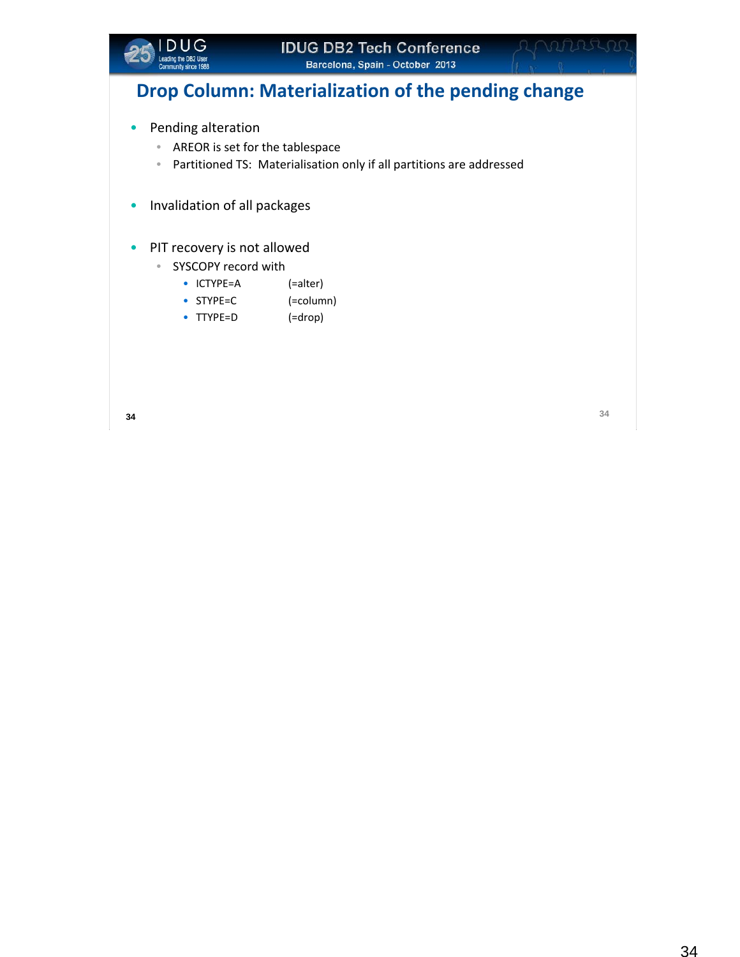

## **Drop Column: Materialization of the pending change**

- Pending alteration
	- AREOR is set for the tablespace
	- Partitioned TS: Materialisation only if all partitions are addressed
- Invalidation of all packages
- PIT recovery is not allowed
	- SYSCOPY record with
		- ICTYPE=A (=alter)
		- STYPE=C (=column)
		- TTYPE=D (=drop)

OUUL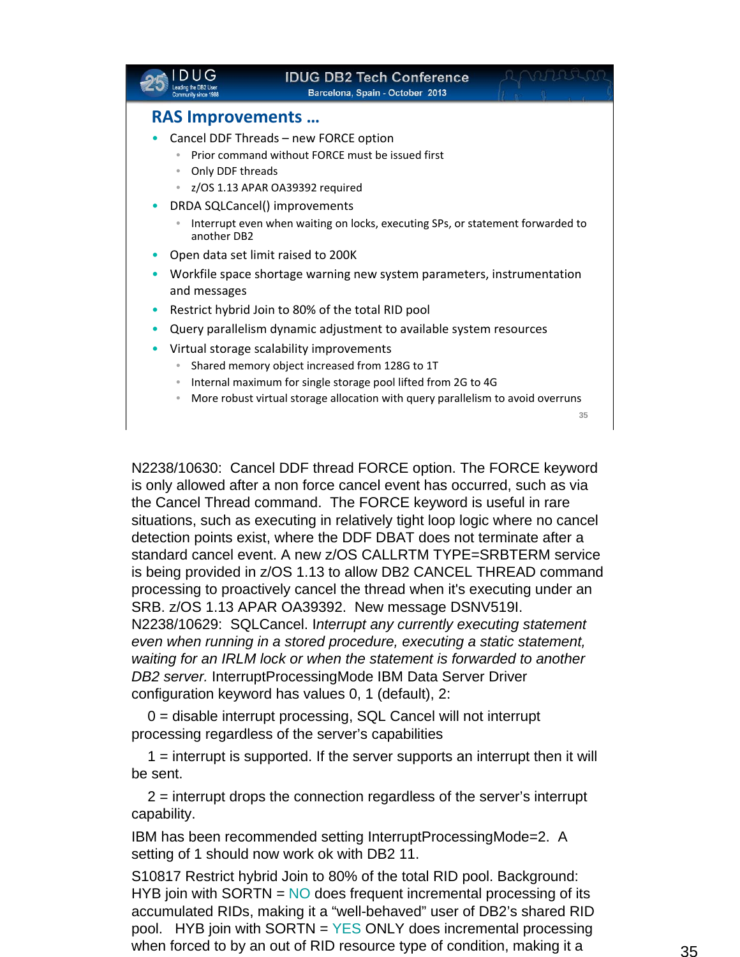|                                             | <b>IDUG DB2 Tech Conference</b><br>Barcelona, Spain - October 2013              |    |
|---------------------------------------------|---------------------------------------------------------------------------------|----|
| <b>RAS Improvements </b>                    |                                                                                 |    |
|                                             | Cancel DDF Threads - new FORCE option                                           |    |
|                                             | Prior command without FORCE must be issued first                                |    |
| Only DDF threads<br>$\qquad \qquad \bullet$ |                                                                                 |    |
|                                             | z/OS 1.13 APAR OA39392 required                                                 |    |
|                                             | DRDA SQLCancel() improvements                                                   |    |
| another DB2                                 | Interrupt even when waiting on locks, executing SPs, or statement forwarded to  |    |
|                                             | Open data set limit raised to 200K                                              |    |
| and messages                                | Workfile space shortage warning new system parameters, instrumentation          |    |
|                                             | Restrict hybrid Join to 80% of the total RID pool                               |    |
|                                             | Query parallelism dynamic adjustment to available system resources              |    |
|                                             | Virtual storage scalability improvements                                        |    |
|                                             | Shared memory object increased from 128G to 1T                                  |    |
| $\qquad \qquad \bullet$                     | Internal maximum for single storage pool lifted from 2G to 4G                   |    |
| $\bullet$                                   | More robust virtual storage allocation with query parallelism to avoid overruns |    |
|                                             |                                                                                 | 35 |
|                                             |                                                                                 |    |

N2238/10630: Cancel DDF thread FORCE option. The FORCE keyword is only allowed after a non force cancel event has occurred, such as via the Cancel Thread command. The FORCE keyword is useful in rare situations, such as executing in relatively tight loop logic where no cancel detection points exist, where the DDF DBAT does not terminate after a standard cancel event. A new z/OS CALLRTM TYPE=SRBTERM service is being provided in z/OS 1.13 to allow DB2 CANCEL THREAD command processing to proactively cancel the thread when it's executing under an SRB. z/OS 1.13 APAR OA39392. New message DSNV519I. N2238/10629: SQLCancel. I*nterrupt any currently executing statement even when running in a stored procedure, executing a static statement, waiting for an IRLM lock or when the statement is forwarded to another* 

*DB2 server.* InterruptProcessingMode IBM Data Server Driver configuration keyword has values 0, 1 (default), 2:

0 = disable interrupt processing, SQL Cancel will not interrupt processing regardless of the server's capabilities

1 = interrupt is supported. If the server supports an interrupt then it will be sent.

2 = interrupt drops the connection regardless of the server's interrupt capability.

IBM has been recommended setting InterruptProcessingMode=2. A setting of 1 should now work ok with DB2 11.

S10817 Restrict hybrid Join to 80% of the total RID pool. Background: HYB join with SORTN  $=$  NO does frequent incremental processing of its accumulated RIDs, making it a "well-behaved" user of DB2's shared RID pool. HYB join with SORTN = YES ONLY does incremental processing when forced to by an out of RID resource type of condition, making it a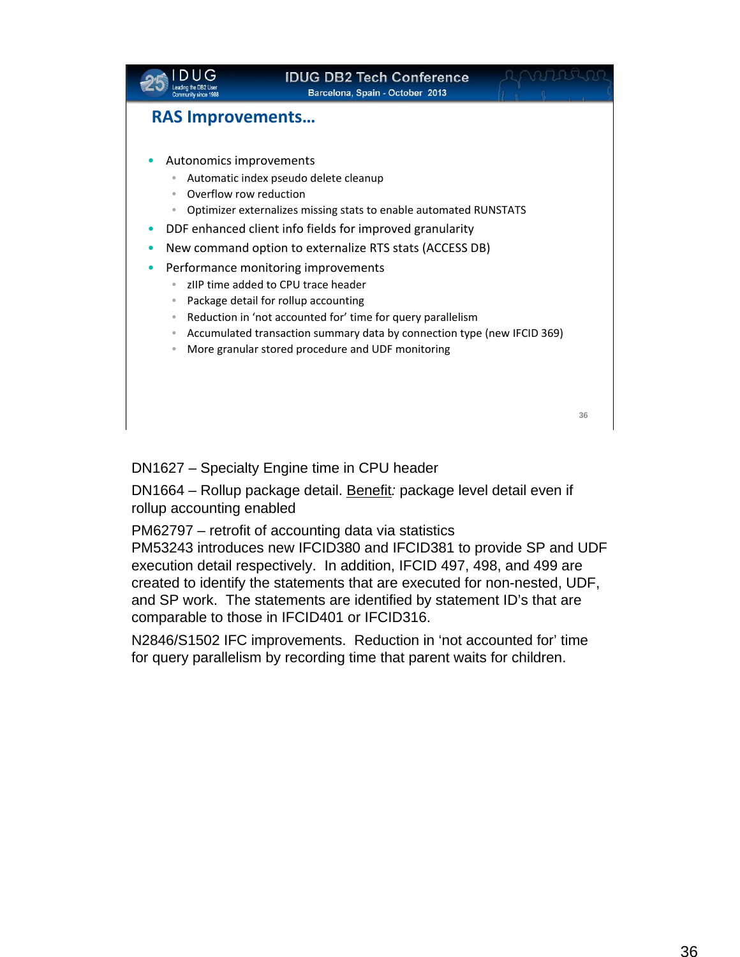

DN1627 – Specialty Engine time in CPU header

DN1664 – Rollup package detail. Benefit*:* package level detail even if rollup accounting enabled

PM62797 – retrofit of accounting data via statistics

PM53243 introduces new IFCID380 and IFCID381 to provide SP and UDF execution detail respectively. In addition, IFCID 497, 498, and 499 are created to identify the statements that are executed for non-nested, UDF, and SP work. The statements are identified by statement ID's that are comparable to those in IFCID401 or IFCID316.

N2846/S1502 IFC improvements. Reduction in 'not accounted for' time for query parallelism by recording time that parent waits for children.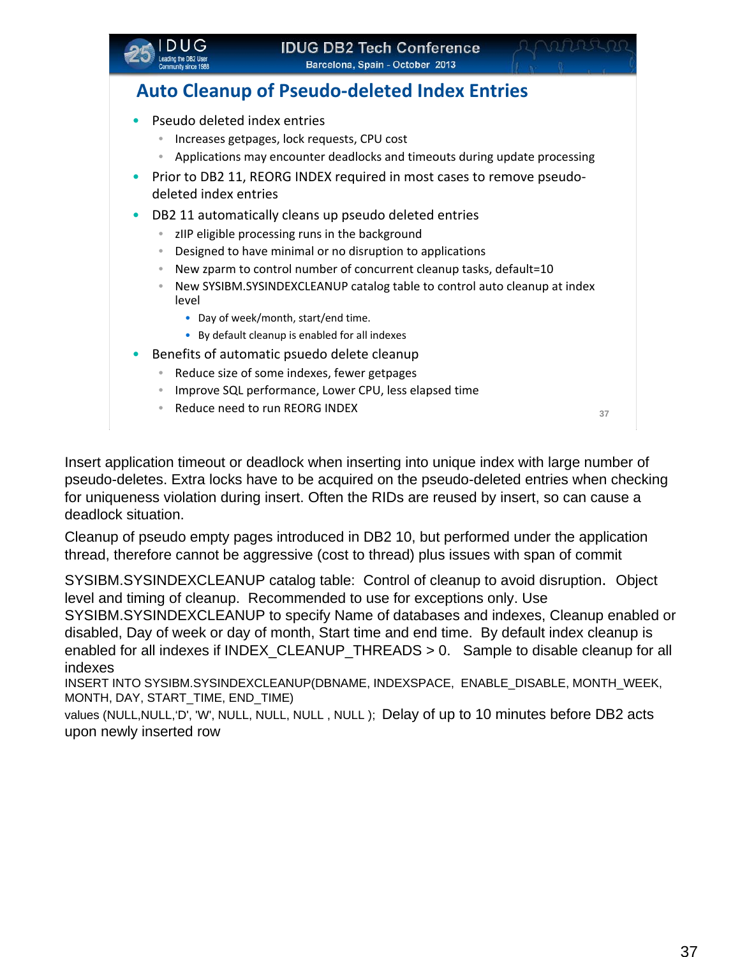

## **Auto Cleanup of Pseudo‐deleted Index Entries**

- Pseudo deleted index entries
	- Increases getpages, lock requests, CPU cost
	- Applications may encounter deadlocks and timeouts during update processing
- Prior to DB2 11, REORG INDEX required in most cases to remove pseudodeleted index entries
- DB2 11 automatically cleans up pseudo deleted entries
	- zIIP eligible processing runs in the background
	- Designed to have minimal or no disruption to applications
	- New zparm to control number of concurrent cleanup tasks, default=10
	- New SYSIBM.SYSINDEXCLEANUP catalog table to control auto cleanup at index level
		- Day of week/month, start/end time.
		- By default cleanup is enabled for all indexes
- Benefits of automatic psuedo delete cleanup
	- Reduce size of some indexes, fewer getpages
	- Improve SQL performance, Lower CPU, less elapsed time
	- Reduce need to run REORG INDEX **<sup>37</sup>**

Insert application timeout or deadlock when inserting into unique index with large number of pseudo-deletes. Extra locks have to be acquired on the pseudo-deleted entries when checking for uniqueness violation during insert. Often the RIDs are reused by insert, so can cause a deadlock situation.

Cleanup of pseudo empty pages introduced in DB2 10, but performed under the application thread, therefore cannot be aggressive (cost to thread) plus issues with span of commit

SYSIBM.SYSINDEXCLEANUP catalog table: Control of cleanup to avoid disruption. Object level and timing of cleanup. Recommended to use for exceptions only. Use

SYSIBM.SYSINDEXCLEANUP to specify Name of databases and indexes, Cleanup enabled or disabled, Day of week or day of month, Start time and end time. By default index cleanup is enabled for all indexes if INDEX\_CLEANUP\_THREADS > 0. Sample to disable cleanup for all indexes

INSERT INTO SYSIBM.SYSINDEXCLEANUP(DBNAME, INDEXSPACE, ENABLE\_DISABLE, MONTH\_WEEK, MONTH, DAY, START\_TIME, END\_TIME)

values (NULL,NULL,'D', 'W', NULL, NULL, NULL , NULL ); Delay of up to 10 minutes before DB2 acts upon newly inserted row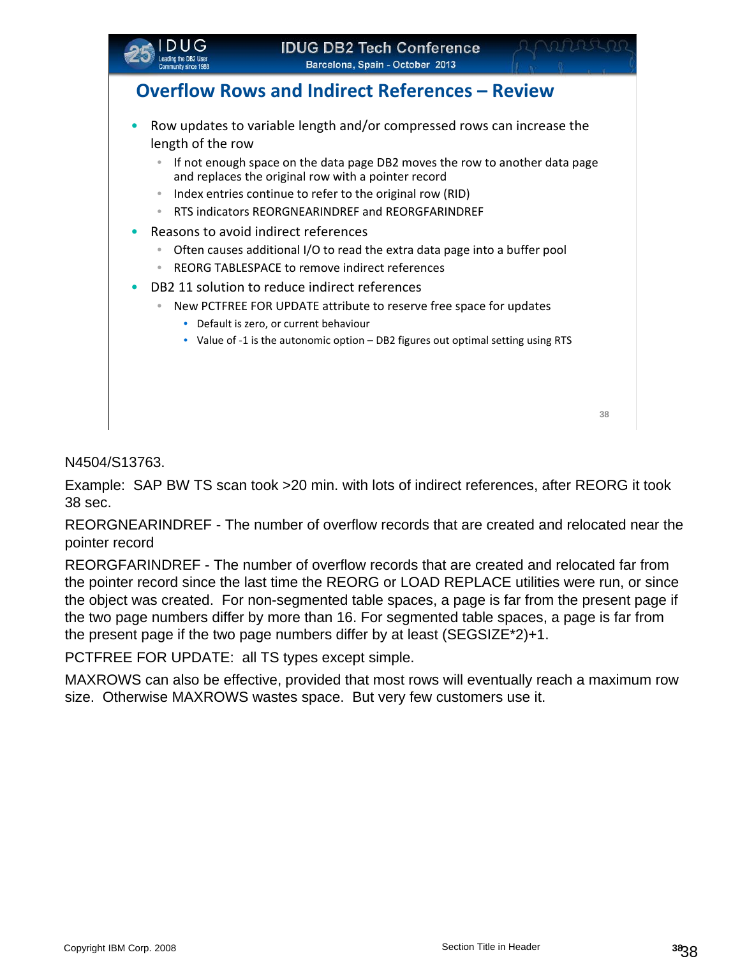

Example: SAP BW TS scan took >20 min. with lots of indirect references, after REORG it took 38 sec.

REORGNEARINDREF - The number of overflow records that are created and relocated near the pointer record

REORGFARINDREF - The number of overflow records that are created and relocated far from the pointer record since the last time the REORG or LOAD REPLACE utilities were run, or since the object was created. For non-segmented table spaces, a page is far from the present page if the two page numbers differ by more than 16. For segmented table spaces, a page is far from the present page if the two page numbers differ by at least (SEGSIZE\*2)+1.

PCTFREE FOR UPDATE: all TS types except simple.

MAXROWS can also be effective, provided that most rows will eventually reach a maximum row size. Otherwise MAXROWS wastes space. But very few customers use it.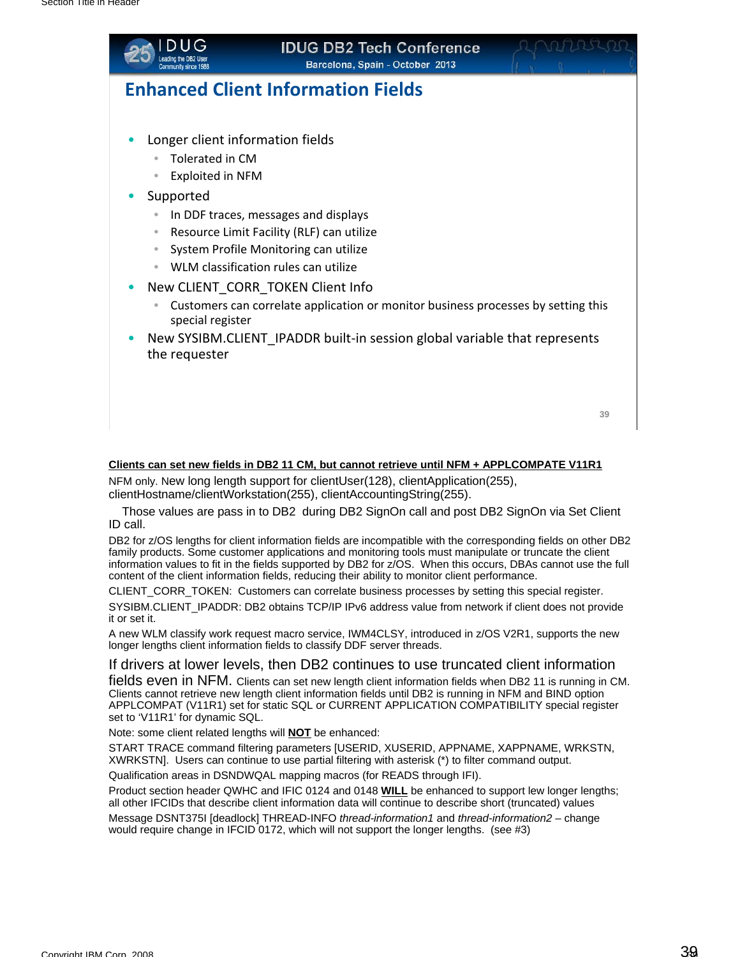

# **IDUG DB2 Tech Conference**

**Barcelona, Spain - October 2013** 

## **Enhanced Client Information Fields**

- Longer client information fields
	- Tolerated in CM
	- Exploited in NFM
- **Supported** 
	- In DDF traces, messages and displays
	- Resource Limit Facility (RLF) can utilize
	- System Profile Monitoring can utilize
	- WLM classification rules can utilize
- New CLIENT CORR TOKEN Client Info
	- Customers can correlate application or monitor business processes by setting this special register
- New SYSIBM.CLIENT\_IPADDR built‐in session global variable that represents the requester

| w            |  |
|--------------|--|
| a.<br>$\sim$ |  |

#### **Clients can set new fields in DB2 11 CM, but cannot retrieve until NFM + APPLCOMPATE V11R1**

NFM only. New long length support for clientUser(128), clientApplication(255), clientHostname/clientWorkstation(255), clientAccountingString(255).

Those values are pass in to DB2 during DB2 SignOn call and post DB2 SignOn via Set Client ID call.

DB2 for z/OS lengths for client information fields are incompatible with the corresponding fields on other DB2 family products. Some customer applications and monitoring tools must manipulate or truncate the client information values to fit in the fields supported by DB2 for z/OS. When this occurs, DBAs cannot use the full content of the client information fields, reducing their ability to monitor client performance.

CLIENT\_CORR\_TOKEN: Customers can correlate business processes by setting this special register. SYSIBM.CLIENT\_IPADDR: DB2 obtains TCP/IP IPv6 address value from network if client does not provide it or set it.

A new WLM classify work request macro service, IWM4CLSY, introduced in z/OS V2R1, supports the new longer lengths client information fields to classify DDF server threads.

If drivers at lower levels, then DB2 continues to use truncated client information fields even in NFM. Clients can set new length client information fields when DB2 11 is running in CM. Clients cannot retrieve new length client information fields until DB2 is running in NFM and BIND option APPLCOMPAT (V11R1) set for static SQL or CURRENT APPLICATION COMPATIBILITY special register set to 'V11R1' for dynamic SQL.

Note: some client related lengths will **NOT** be enhanced:

START TRACE command filtering parameters [USERID, XUSERID, APPNAME, XAPPNAME, WRKSTN, XWRKSTN]. Users can continue to use partial filtering with asterisk (\*) to filter command output.

Qualification areas in DSNDWQAL mapping macros (for READS through IFI).

Product section header QWHC and IFIC 0124 and 0148 **WILL** be enhanced to support lew longer lengths; all other IFCIDs that describe client information data will continue to describe short (truncated) values

Message DSNT375I [deadlock] THREAD-INFO *thread-information1* and *thread-information2* – change would require change in IFCID 0172, which will not support the longer lengths. (see #3)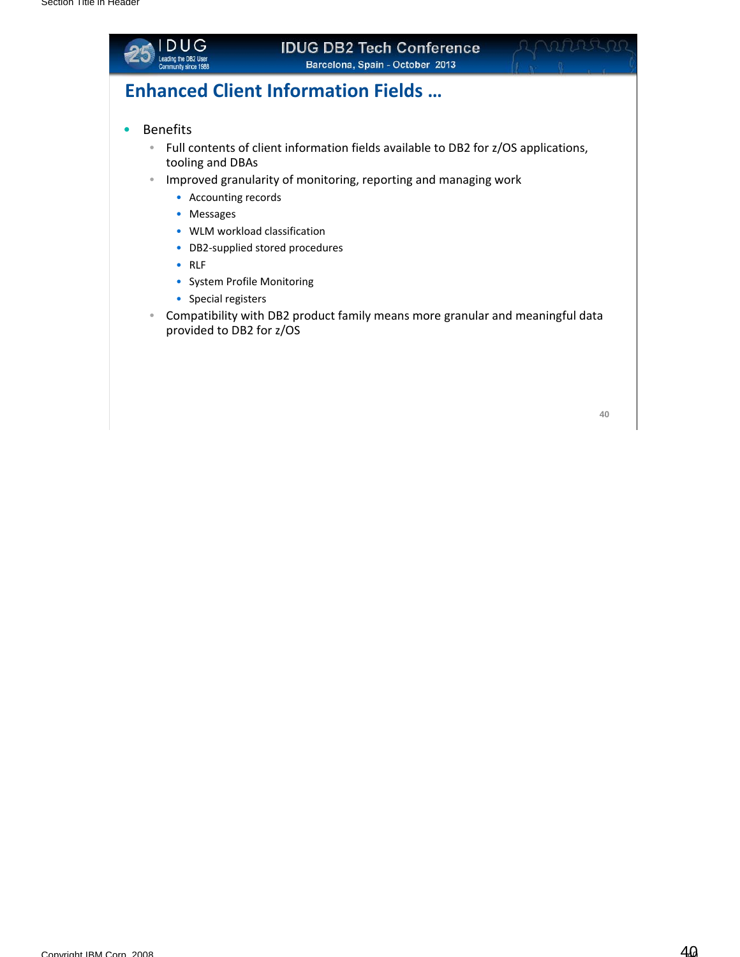

#### **IDUG DB2 Tech Conference Barcelona, Spain - October 2013**

## **Enhanced Client Information Fields …**

- Benefits
	- Full contents of client information fields available to DB2 for z/OS applications, tooling and DBAs
	- Improved granularity of monitoring, reporting and managing work
		- Accounting records
		- Messages
		- WLM workload classification
		- DB2‐supplied stored procedures
		- RLF
		- System Profile Monitoring
		- Special registers
	- Compatibility with DB2 product family means more granular and meaningful data provided to DB2 for z/OS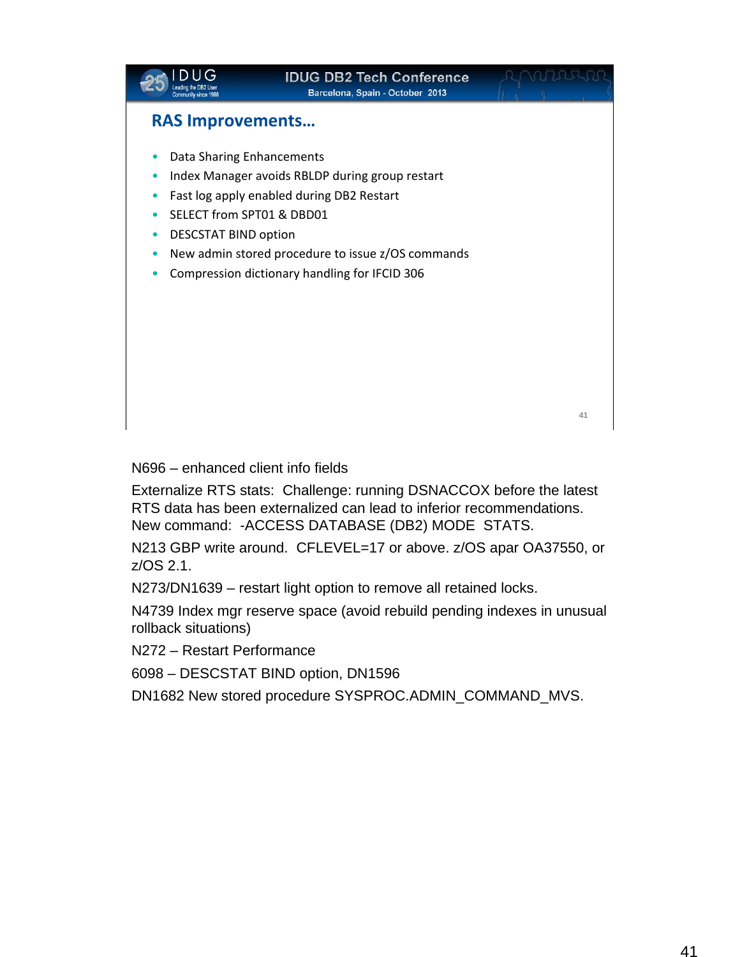|                                                                                       | <b>IDUG DB2 Tech Conference</b><br>Barcelona, Spain - October 2013                                                                                                                                 |    |
|---------------------------------------------------------------------------------------|----------------------------------------------------------------------------------------------------------------------------------------------------------------------------------------------------|----|
| <b>RAS Improvements</b>                                                               |                                                                                                                                                                                                    |    |
| Data Sharing Enhancements<br>SELECT from SPT01 & DBD01<br><b>DESCSTAT BIND option</b> | Index Manager avoids RBLDP during group restart<br>Fast log apply enabled during DB2 Restart<br>New admin stored procedure to issue z/OS commands<br>Compression dictionary handling for IFCID 306 |    |
|                                                                                       |                                                                                                                                                                                                    | 41 |

N696 – enhanced client info fields

Externalize RTS stats: Challenge: running DSNACCOX before the latest RTS data has been externalized can lead to inferior recommendations. New command: -ACCESS DATABASE (DB2) MODE STATS.

N213 GBP write around. CFLEVEL=17 or above. z/OS apar OA37550, or z/OS 2.1.

N273/DN1639 – restart light option to remove all retained locks.

N4739 Index mgr reserve space (avoid rebuild pending indexes in unusual rollback situations)

N272 – Restart Performance

6098 – DESCSTAT BIND option, DN1596

DN1682 New stored procedure SYSPROC.ADMIN\_COMMAND\_MVS.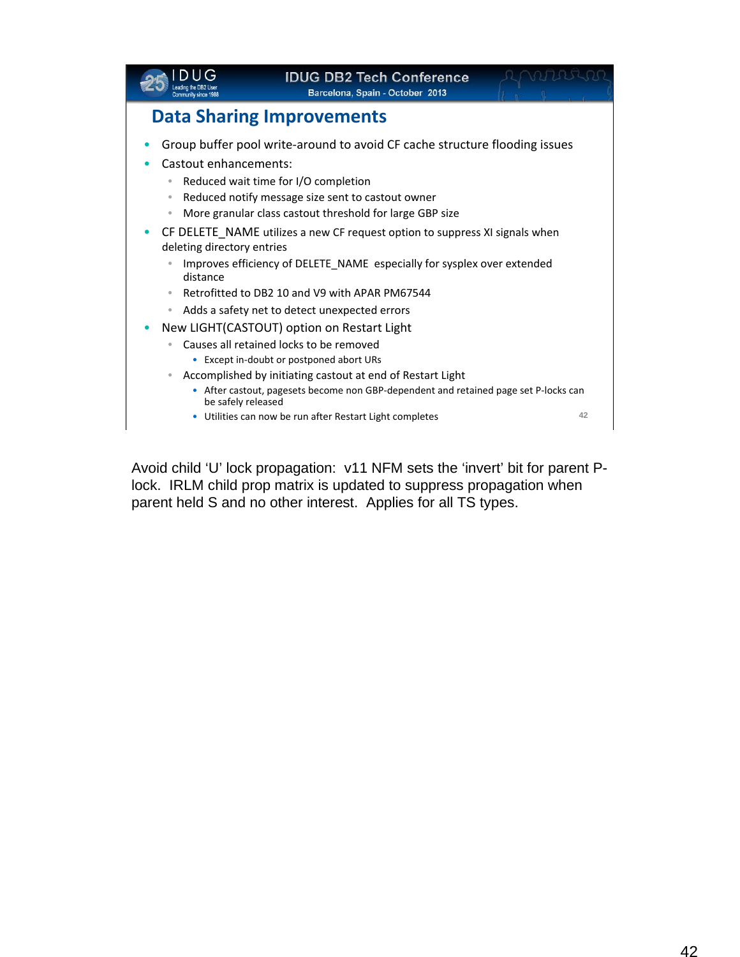|                                                                                                                                                   | <b>IDUG DB2 Tech Conference</b><br>Barcelona, Spain - October 2013                                                                                                                                                                                                                                                                                                                                                                                                                               |    |
|---------------------------------------------------------------------------------------------------------------------------------------------------|--------------------------------------------------------------------------------------------------------------------------------------------------------------------------------------------------------------------------------------------------------------------------------------------------------------------------------------------------------------------------------------------------------------------------------------------------------------------------------------------------|----|
|                                                                                                                                                   | <b>Data Sharing Improvements</b>                                                                                                                                                                                                                                                                                                                                                                                                                                                                 |    |
| Castout enhancements:<br>۰<br>$\color{black} \bullet$<br>۰<br>deleting directory entries<br>۰<br>distance<br>$\qquad \qquad \bullet$<br>$\bullet$ | Group buffer pool write-around to avoid CF cache structure flooding issues<br>Reduced wait time for I/O completion<br>Reduced notify message size sent to castout owner<br>More granular class castout threshold for large GBP size<br>CF DELETE_NAME utilizes a new CF request option to suppress XI signals when<br>Improves efficiency of DELETE_NAME especially for sysplex over extended<br>Retrofitted to DB2 10 and V9 with APAR PM67544<br>Adds a safety net to detect unexpected errors |    |
| $\bullet$<br>۰<br>be safely released                                                                                                              | New LIGHT(CASTOUT) option on Restart Light<br>Causes all retained locks to be removed<br>• Except in-doubt or postponed abort URs<br>Accomplished by initiating castout at end of Restart Light<br>• After castout, pagesets become non GBP-dependent and retained page set P-locks can                                                                                                                                                                                                          |    |
|                                                                                                                                                   | • Utilities can now be run after Restart Light completes                                                                                                                                                                                                                                                                                                                                                                                                                                         | 42 |

Avoid child 'U' lock propagation: v11 NFM sets the 'invert' bit for parent Plock. IRLM child prop matrix is updated to suppress propagation when parent held S and no other interest. Applies for all TS types.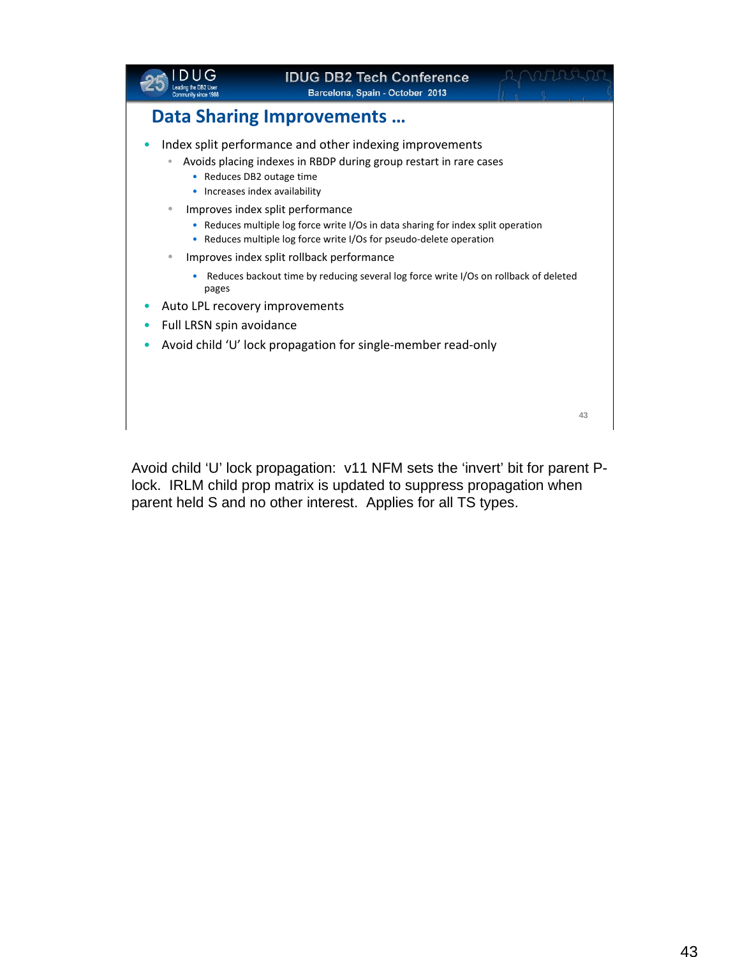

Avoid child 'U' lock propagation: v11 NFM sets the 'invert' bit for parent Plock. IRLM child prop matrix is updated to suppress propagation when parent held S and no other interest. Applies for all TS types.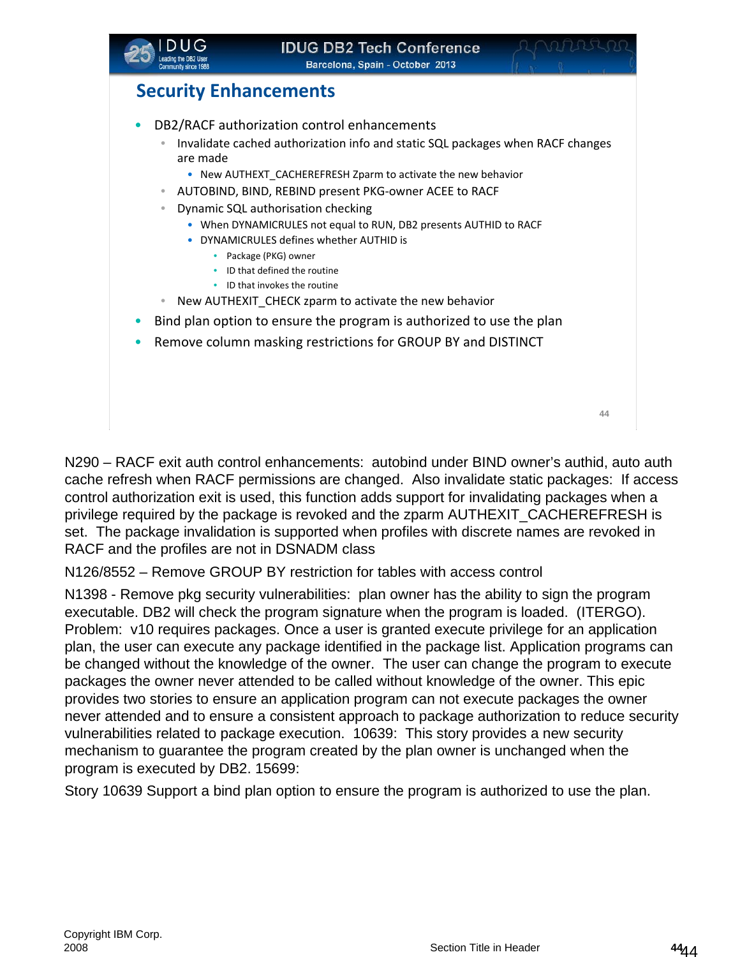

### **Security Enhancements**

- DB2/RACF authorization control enhancements
	- Invalidate cached authorization info and static SQL packages when RACF changes are made
		- New AUTHEXT\_CACHEREFRESH Zparm to activate the new behavior
	- AUTOBIND, BIND, REBIND present PKG‐owner ACEE to RACF
	- Dynamic SQL authorisation checking
		- When DYNAMICRULES not equal to RUN, DB2 presents AUTHID to RACF
		- DYNAMICRULES defines whether AUTHID is
			- Package (PKG) owner
			- ID that defined the routine
			- ID that invokes the routine
	- New AUTHEXIT CHECK zparm to activate the new behavior
- Bind plan option to ensure the program is authorized to use the plan
- Remove column masking restrictions for GROUP BY and DISTINCT

**44 44**

N290 – RACF exit auth control enhancements: autobind under BIND owner's authid, auto auth cache refresh when RACF permissions are changed. Also invalidate static packages: If access control authorization exit is used, this function adds support for invalidating packages when a privilege required by the package is revoked and the zparm AUTHEXIT\_CACHEREFRESH is set. The package invalidation is supported when profiles with discrete names are revoked in RACF and the profiles are not in DSNADM class

N126/8552 – Remove GROUP BY restriction for tables with access control

N1398 - Remove pkg security vulnerabilities: plan owner has the ability to sign the program executable. DB2 will check the program signature when the program is loaded. (ITERGO). Problem: v10 requires packages. Once a user is granted execute privilege for an application plan, the user can execute any package identified in the package list. Application programs can be changed without the knowledge of the owner. The user can change the program to execute packages the owner never attended to be called without knowledge of the owner. This epic provides two stories to ensure an application program can not execute packages the owner never attended and to ensure a consistent approach to package authorization to reduce security vulnerabilities related to package execution. 10639: This story provides a new security mechanism to guarantee the program created by the plan owner is unchanged when the program is executed by DB2. 15699:

Story 10639 Support a bind plan option to ensure the program is authorized to use the plan.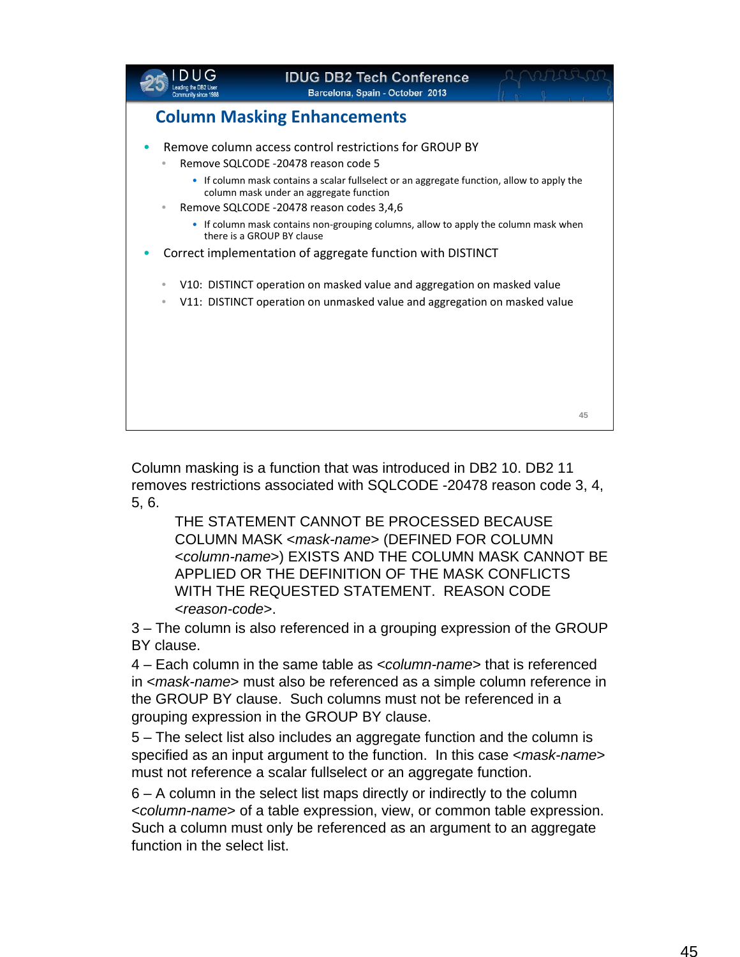

Column masking is a function that was introduced in DB2 10. DB2 11 removes restrictions associated with SQLCODE -20478 reason code 3, 4, 5, 6.

THE STATEMENT CANNOT BE PROCESSED BECAUSE COLUMN MASK <*mask-name*> (DEFINED FOR COLUMN <*column-name*>) EXISTS AND THE COLUMN MASK CANNOT BE APPLIED OR THE DEFINITION OF THE MASK CONFLICTS WITH THE REQUESTED STATEMENT. REASON CODE <*reason-code*>.

3 – The column is also referenced in a grouping expression of the GROUP BY clause.

4 – Each column in the same table as <*column-name*> that is referenced in <*mask-name*> must also be referenced as a simple column reference in the GROUP BY clause. Such columns must not be referenced in a grouping expression in the GROUP BY clause.

5 – The select list also includes an aggregate function and the column is specified as an input argument to the function. In this case <*mask-name*> must not reference a scalar fullselect or an aggregate function.

6 – A column in the select list maps directly or indirectly to the column <*column-name*> of a table expression, view, or common table expression. Such a column must only be referenced as an argument to an aggregate function in the select list.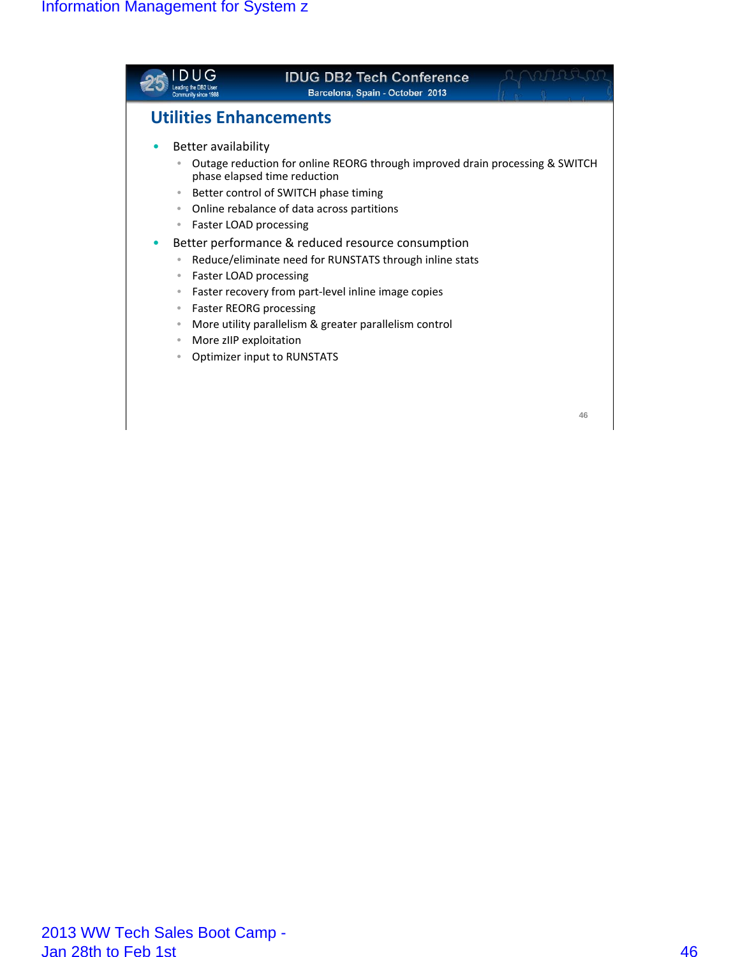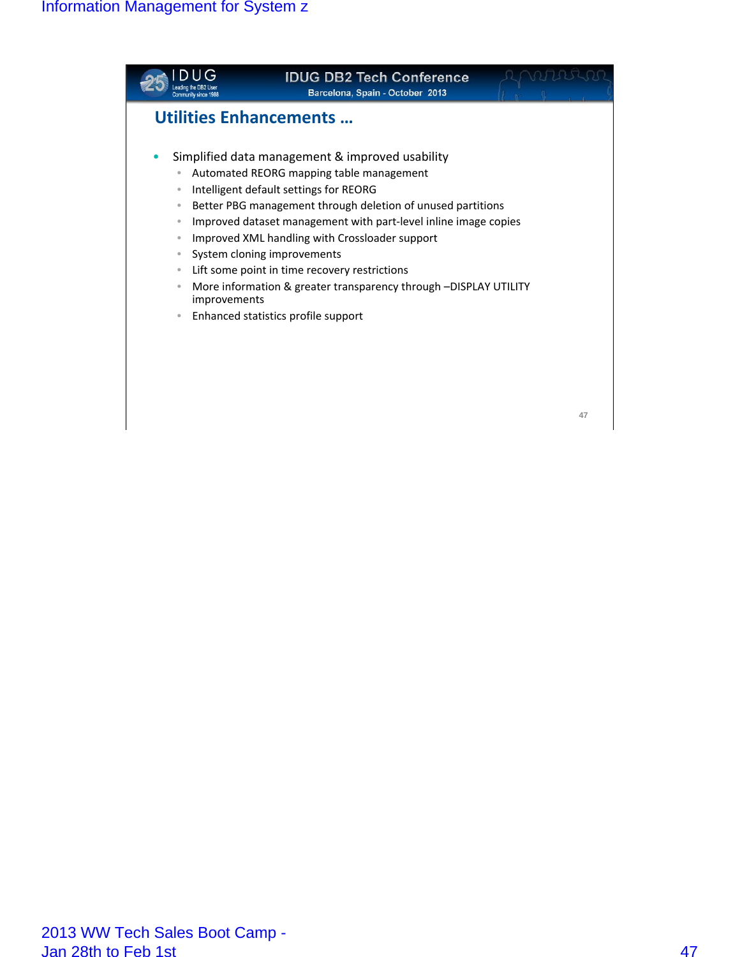

**47**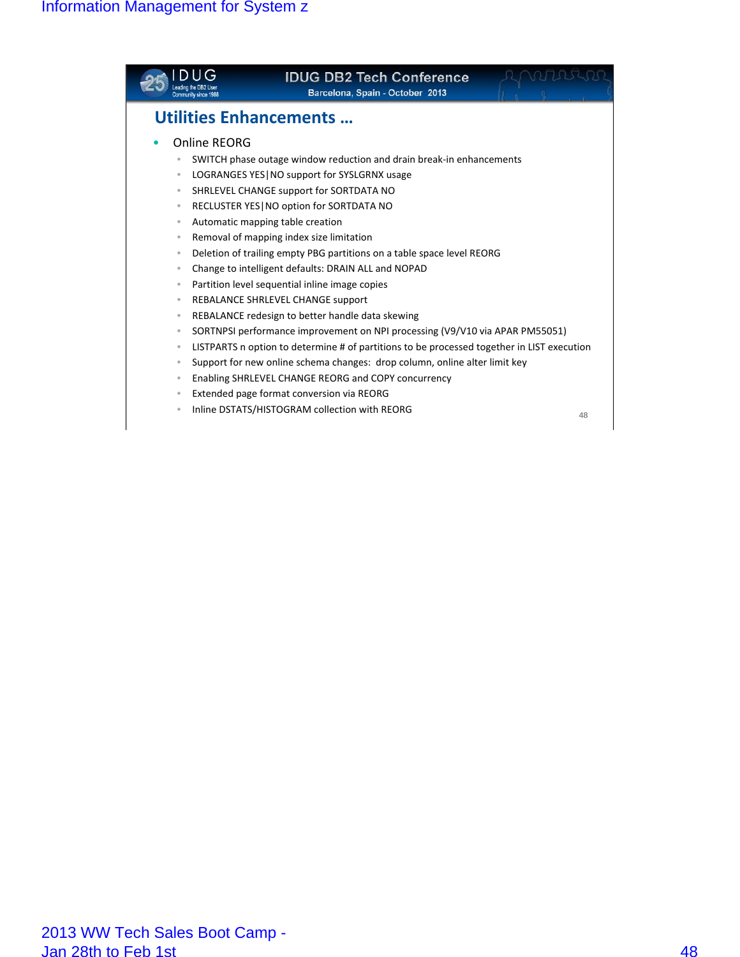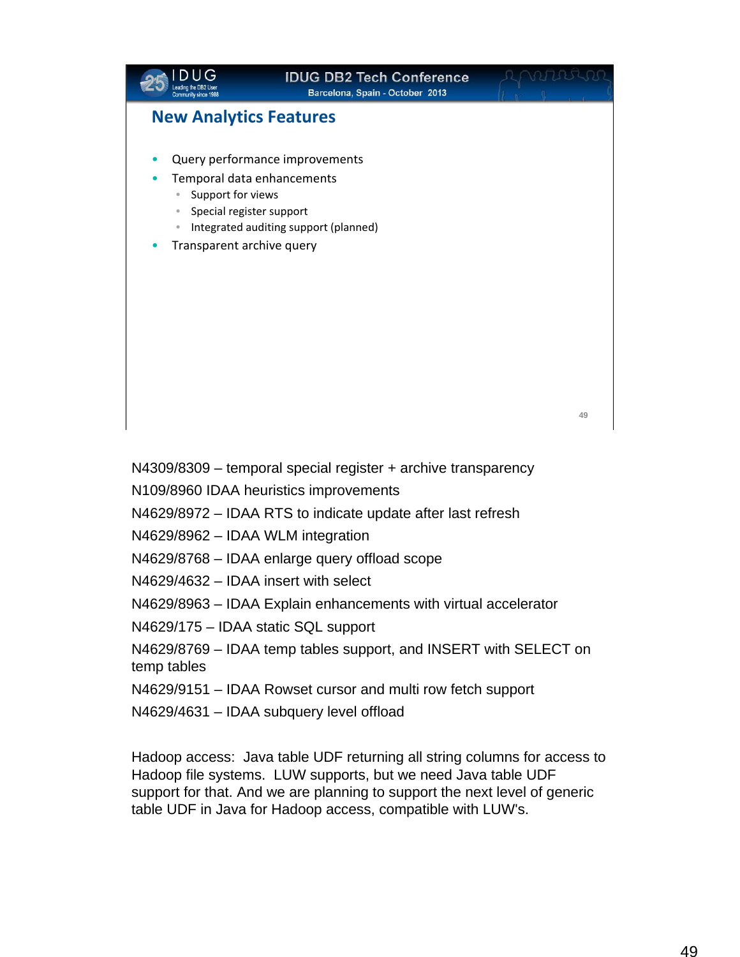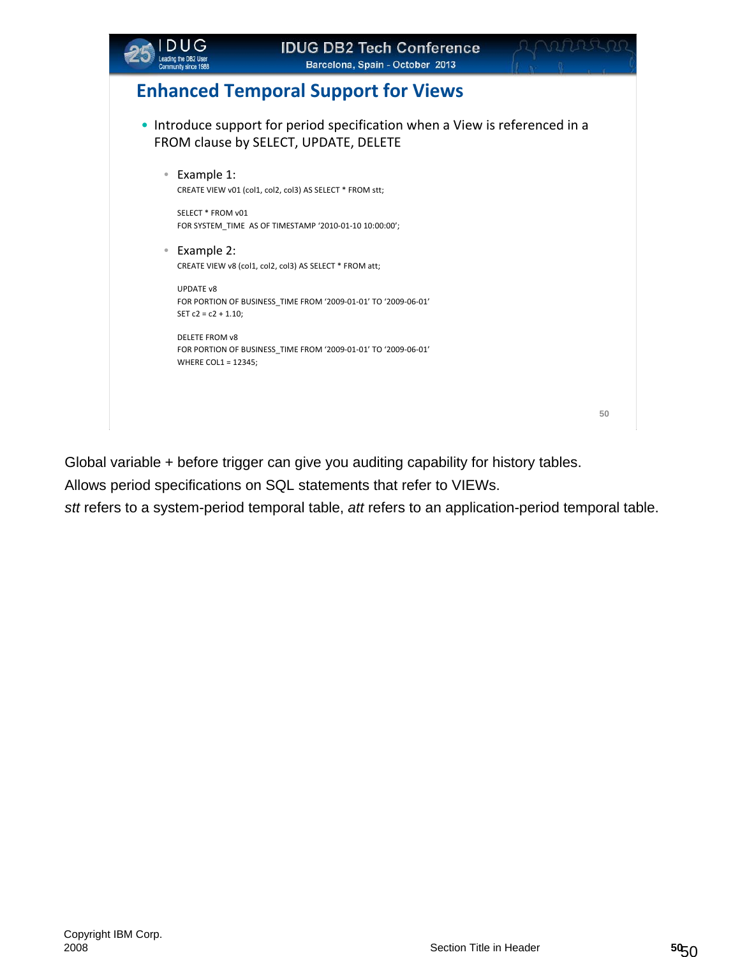

## **Enhanced Temporal Support for Views**

- Introduce support for period specification when a View is referenced in a FROM clause by SELECT, UPDATE, DELETE
	- Example 1: CREATE VIEW v01 (col1, col2, col3) AS SELECT \* FROM stt;

SELECT \* FROM v01 FOR SYSTEM\_TIME AS OF TIMESTAMP '2010‐01‐10 10:00:00';

• Example 2: CREATE VIEW v8 (col1, col2, col3) AS SELECT \* FROM att;

UPDATE v8 FOR PORTION OF BUSINESS\_TIME FROM '2009‐01‐01' TO '2009‐06‐01' SET  $c2 = c2 + 1.10$ ;

DELETE FROM v8 FOR PORTION OF BUSINESS\_TIME FROM '2009‐01‐01' TO '2009‐06‐01' WHERE COL1 = 12345;

**50**

Global variable + before trigger can give you auditing capability for history tables.

Allows period specifications on SQL statements that refer to VIEWs.

*stt* refers to a system-period temporal table, *att* refers to an application-period temporal table.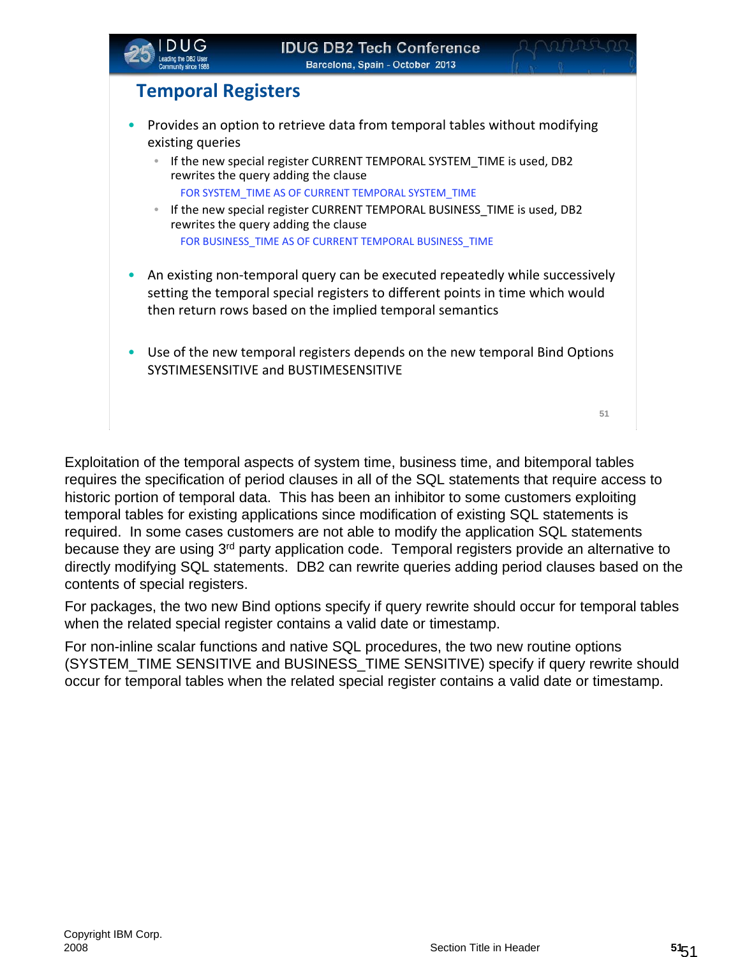

- Provides an option to retrieve data from temporal tables without modifying existing queries
	- If the new special register CURRENT TEMPORAL SYSTEM TIME is used, DB2 rewrites the query adding the clause
		- FOR SYSTEM\_TIME AS OF CURRENT TEMPORAL SYSTEM\_TIME
	- If the new special register CURRENT TEMPORAL BUSINESS TIME is used, DB2 rewrites the query adding the clause FOR BUSINESS\_TIME AS OF CURRENT TEMPORAL BUSINESS\_TIME
- An existing non-temporal query can be executed repeatedly while successively setting the temporal special registers to different points in time which would then return rows based on the implied temporal semantics
- Use of the new temporal registers depends on the new temporal Bind Options SYSTIMESENSITIVE and BUSTIMESENSITIVE

**51**

Exploitation of the temporal aspects of system time, business time, and bitemporal tables requires the specification of period clauses in all of the SQL statements that require access to historic portion of temporal data. This has been an inhibitor to some customers exploiting temporal tables for existing applications since modification of existing SQL statements is required. In some cases customers are not able to modify the application SQL statements because they are using 3<sup>rd</sup> party application code. Temporal registers provide an alternative to directly modifying SQL statements. DB2 can rewrite queries adding period clauses based on the contents of special registers.

For packages, the two new Bind options specify if query rewrite should occur for temporal tables when the related special register contains a valid date or timestamp.

For non-inline scalar functions and native SQL procedures, the two new routine options (SYSTEM\_TIME SENSITIVE and BUSINESS\_TIME SENSITIVE) specify if query rewrite should occur for temporal tables when the related special register contains a valid date or timestamp.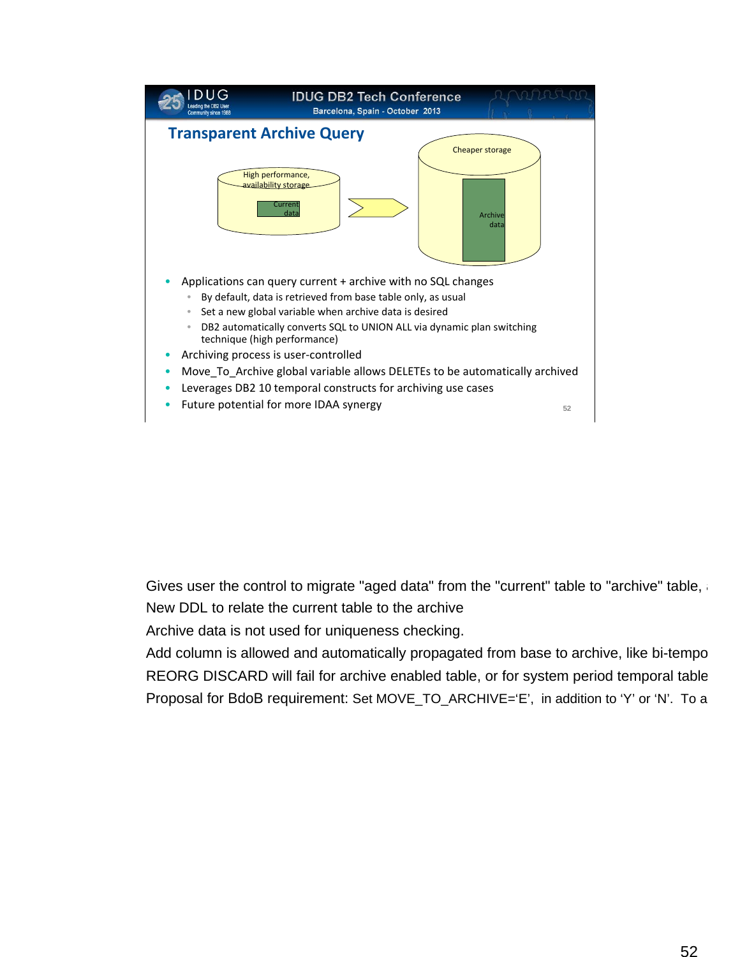

Gives user the control to migrate "aged data" from the "current" table to "archive" table, a New DDL to relate the current table to the archive

Archive data is not used for uniqueness checking.

Add column is allowed and automatically propagated from base to archive, like bi-tempo REORG DISCARD will fail for archive enabled table, or for system period temporal table Proposal for BdoB requirement: Set MOVE\_TO\_ARCHIVE='E', in addition to 'Y' or 'N'. To a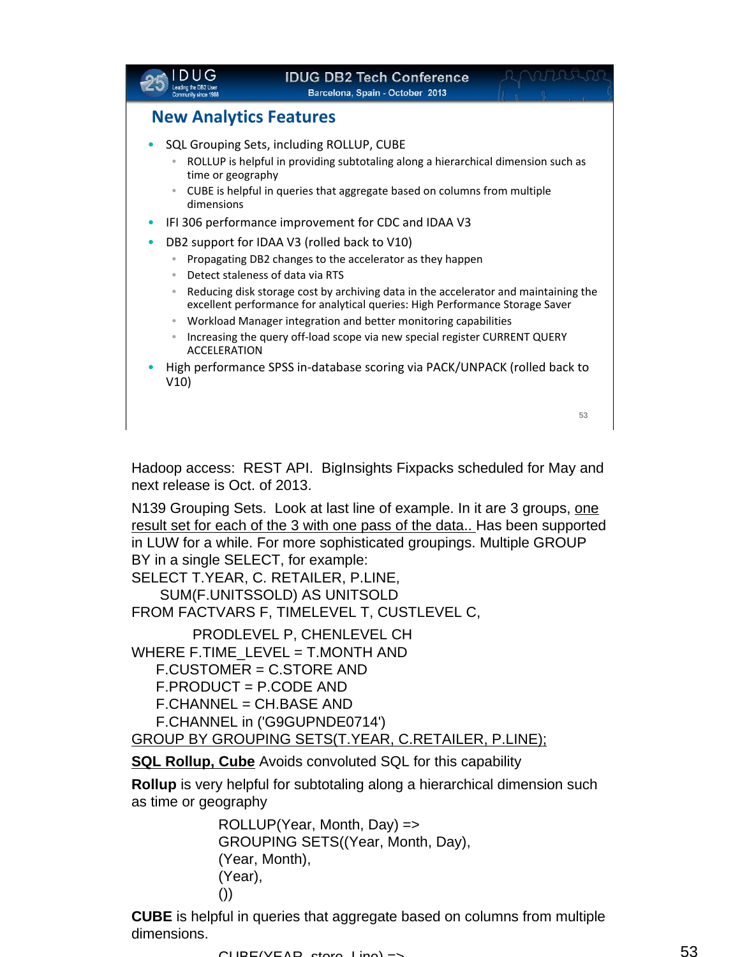|                                                                         | <b>IDUG DB2 Tech Conference</b><br>Barcelona, Spain - October 2013                                                                                                                                                                                                                                                                                       |    |
|-------------------------------------------------------------------------|----------------------------------------------------------------------------------------------------------------------------------------------------------------------------------------------------------------------------------------------------------------------------------------------------------------------------------------------------------|----|
| <b>New Analytics Features</b>                                           |                                                                                                                                                                                                                                                                                                                                                          |    |
| $\bullet$<br>time or geography<br>$\bullet$<br>dimensions               | SQL Grouping Sets, including ROLLUP, CUBE<br>ROLLUP is helpful in providing subtotaling along a hierarchical dimension such as<br>CUBE is helpful in queries that aggregate based on columns from multiple                                                                                                                                               |    |
| ۰                                                                       | IFI 306 performance improvement for CDC and IDAA V3<br>DB2 support for IDAA V3 (rolled back to V10)<br>Propagating DB2 changes to the accelerator as they happen                                                                                                                                                                                         |    |
| $\bullet$<br>$\bullet$<br>$\bullet$<br>$\bullet$<br><b>ACCELERATION</b> | Detect staleness of data via RTS<br>Reducing disk storage cost by archiving data in the accelerator and maintaining the<br>excellent performance for analytical queries: High Performance Storage Saver<br>Workload Manager integration and better monitoring capabilities<br>Increasing the query off-load scope via new special register CURRENT QUERY |    |
| V10)                                                                    | High performance SPSS in-database scoring via PACK/UNPACK (rolled back to                                                                                                                                                                                                                                                                                |    |
| .                                                                       |                                                                                                                                                                                                                                                                                                                                                          | 53 |

Hadoop access: REST API. BigInsights Fixpacks scheduled for May and next release is Oct. of 2013.

N139 Grouping Sets. Look at last line of example. In it are 3 groups, one result set for each of the 3 with one pass of the data.. Has been supported in LUW for a while. For more sophisticated groupings. Multiple GROUP BY in a single SELECT, for example:

SELECT T.YEAR, C. RETAILER, P.LINE, SUM(F.UNITSSOLD) AS UNITSOLD FROM FACTVARS F, TIMELEVEL T, CUSTLEVEL C,

PRODLEVEL P, CHENLEVEL CH WHERE F.TIME\_LEVEL = T.MONTH AND F.CUSTOMER = C.STORE AND F.PRODUCT = P.CODE AND F.CHANNEL = CH.BASE AND F.CHANNEL in ('G9GUPNDE0714')

GROUP BY GROUPING SETS(T.YEAR, C.RETAILER, P.LINE);

**SQL Rollup, Cube** Avoids convoluted SQL for this capability

**Rollup** is very helpful for subtotaling along a hierarchical dimension such as time or geography

> ROLLUP(Year, Month, Day) => GROUPING SETS((Year, Month, Day), (Year, Month), (Year), ())

**CUBE** is helpful in queries that aggregate based on columns from multiple dimensions.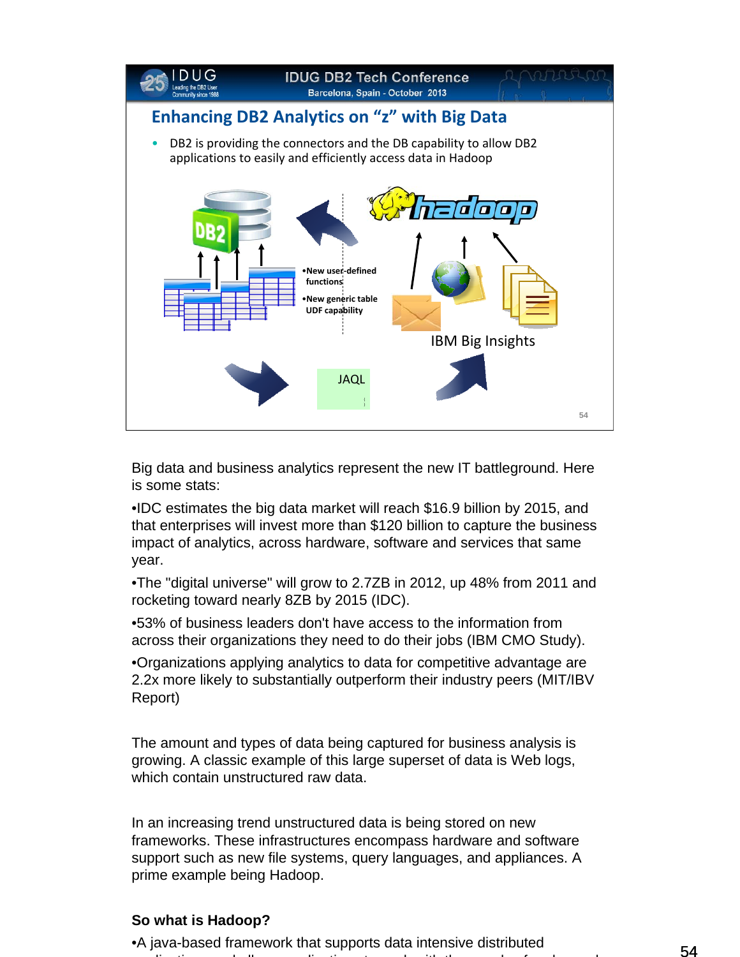

Big data and business analytics represent the new IT battleground. Here is some stats:

•IDC estimates the big data market will reach \$16.9 billion by 2015, and that enterprises will invest more than \$120 billion to capture the business impact of analytics, across hardware, software and services that same year.

•The "digital universe" will grow to 2.7ZB in 2012, up 48% from 2011 and rocketing toward nearly 8ZB by 2015 (IDC).

•53% of business leaders don't have access to the information from across their organizations they need to do their jobs (IBM CMO Study).

•Organizations applying analytics to data for competitive advantage are 2.2x more likely to substantially outperform their industry peers (MIT/IBV Report)

The amount and types of data being captured for business analysis is growing. A classic example of this large superset of data is Web logs, which contain unstructured raw data.

In an increasing trend unstructured data is being stored on new frameworks. These infrastructures encompass hardware and software support such as new file systems, query languages, and appliances. A prime example being Hadoop.

#### **So what is Hadoop?**

54 •A java-based framework that supports data intensive distributed li ti d ll li ti t k ith th d f d d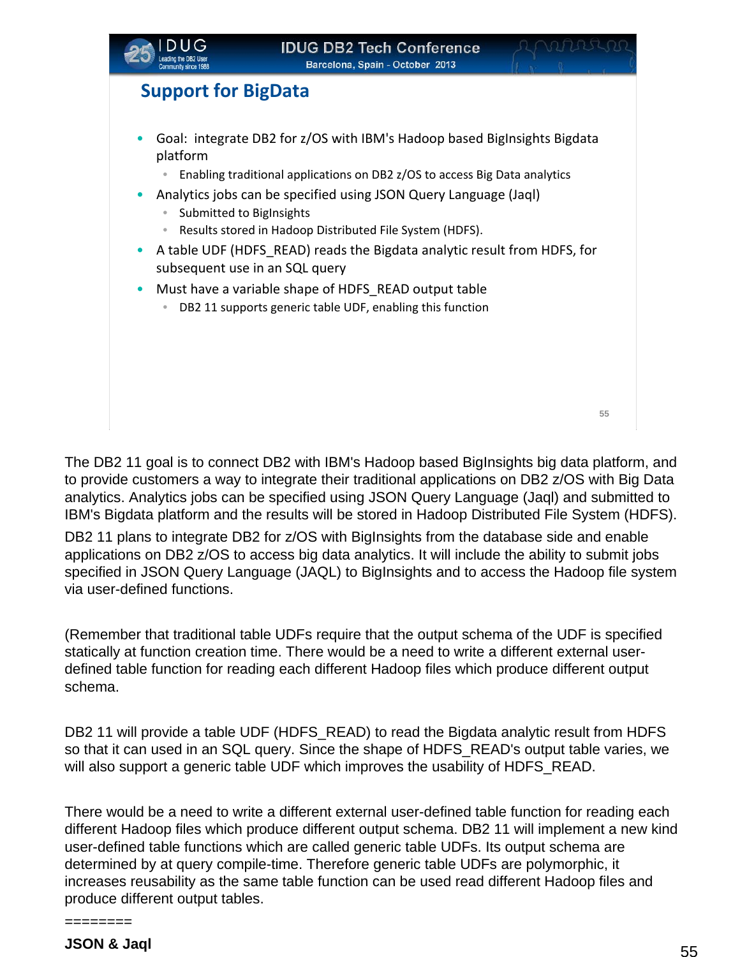

## **Support for BigData**

- Goal: integrate DB2 for z/OS with IBM's Hadoop based BigInsights Bigdata platform
	- Enabling traditional applications on DB2 z/OS to access Big Data analytics
- Analytics jobs can be specified using JSON Query Language (Jaql)
	- Submitted to BigInsights
	- Results stored in Hadoop Distributed File System (HDFS).
- A table UDF (HDFS READ) reads the Bigdata analytic result from HDFS, for subsequent use in an SQL query
- Must have a variable shape of HDFS READ output table
	- DB2 11 supports generic table UDF, enabling this function

**55**

The DB2 11 goal is to connect DB2 with IBM's Hadoop based BigInsights big data platform, and to provide customers a way to integrate their traditional applications on DB2 z/OS with Big Data analytics. Analytics jobs can be specified using JSON Query Language (Jaql) and submitted to IBM's Bigdata platform and the results will be stored in Hadoop Distributed File System (HDFS).

DB2 11 plans to integrate DB2 for z/OS with BigInsights from the database side and enable applications on DB2 z/OS to access big data analytics. It will include the ability to submit jobs specified in JSON Query Language (JAQL) to BigInsights and to access the Hadoop file system via user-defined functions.

(Remember that traditional table UDFs require that the output schema of the UDF is specified statically at function creation time. There would be a need to write a different external userdefined table function for reading each different Hadoop files which produce different output schema.

DB2 11 will provide a table UDF (HDFS READ) to read the Bigdata analytic result from HDFS so that it can used in an SQL query. Since the shape of HDFS\_READ's output table varies, we will also support a generic table UDF which improves the usability of HDFS\_READ.

There would be a need to write a different external user-defined table function for reading each different Hadoop files which produce different output schema. DB2 11 will implement a new kind user-defined table functions which are called generic table UDFs. Its output schema are determined by at query compile-time. Therefore generic table UDFs are polymorphic, it increases reusability as the same table function can be used read different Hadoop files and produce different output tables.

**JSON & Jaql**

========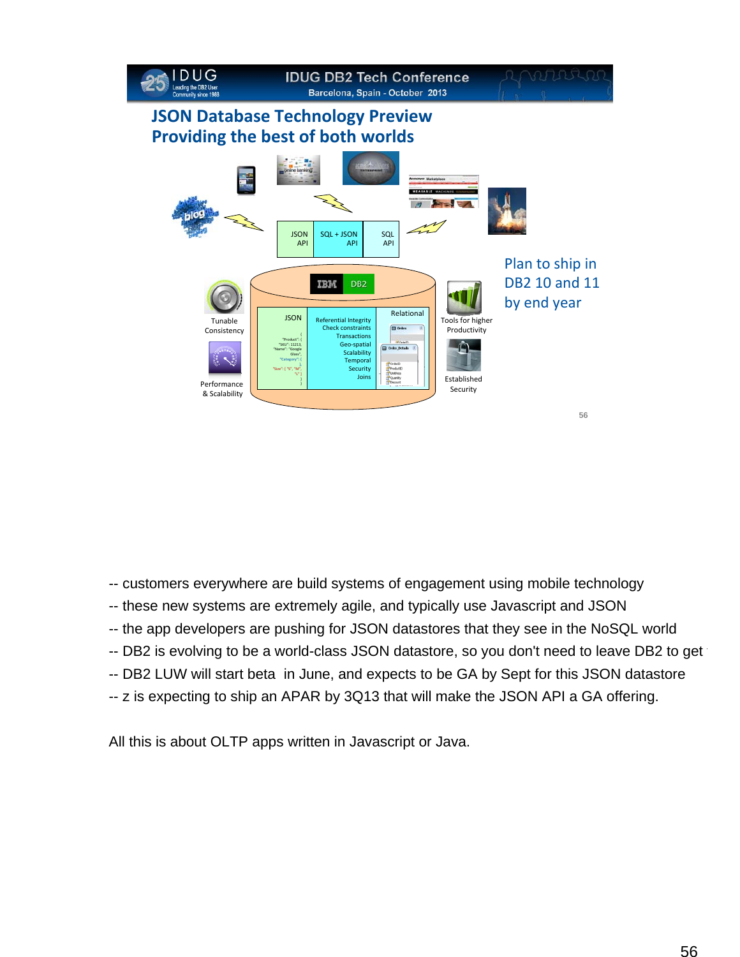

- -- customers everywhere are build systems of engagement using mobile technology
- -- these new systems are extremely agile, and typically use Javascript and JSON
- -- the app developers are pushing for JSON datastores that they see in the NoSQL world
- -- DB2 is evolving to be a world-class JSON datastore, so you don't need to leave DB2 to get
- -- DB2 LUW will start beta in June, and expects to be GA by Sept for this JSON datastore
- -- z is expecting to ship an APAR by 3Q13 that will make the JSON API a GA offering.

All this is about OLTP apps written in Javascript or Java.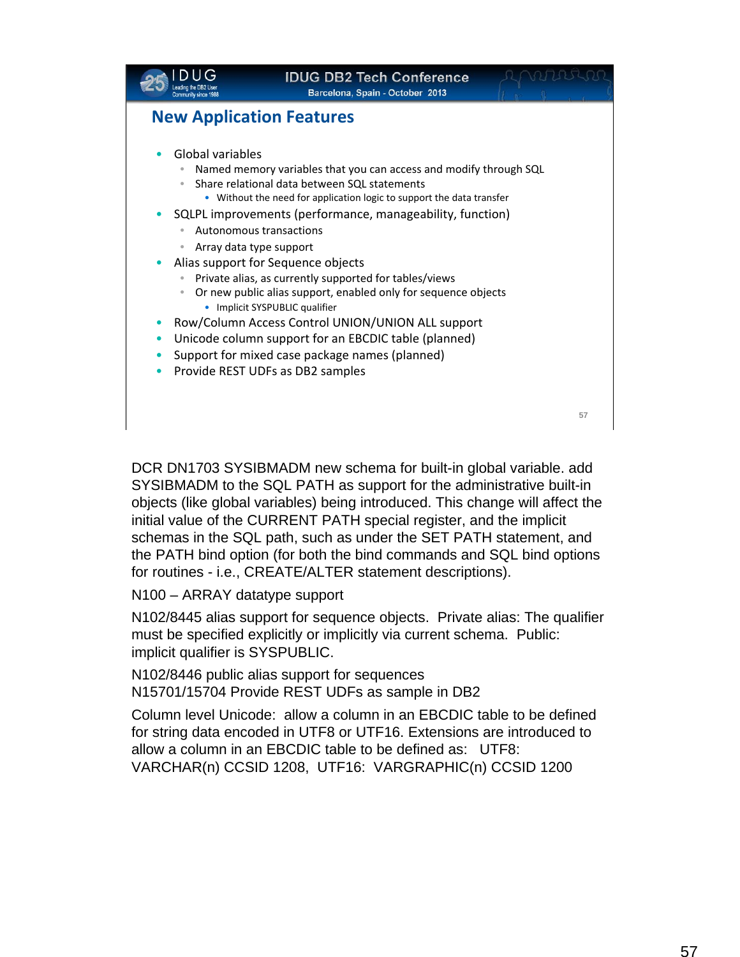|                                                               | <b>IDUG DB2 Tech Conference</b><br>Barcelona, Spain - October 2013                                                                                                                                                                                                                                                                                                                                                                                                                                                                                                                                                                                                                        |    |
|---------------------------------------------------------------|-------------------------------------------------------------------------------------------------------------------------------------------------------------------------------------------------------------------------------------------------------------------------------------------------------------------------------------------------------------------------------------------------------------------------------------------------------------------------------------------------------------------------------------------------------------------------------------------------------------------------------------------------------------------------------------------|----|
| <b>New Application Features</b>                               |                                                                                                                                                                                                                                                                                                                                                                                                                                                                                                                                                                                                                                                                                           |    |
| Global variables<br>Array data type support<br>$\bullet$<br>٠ | Named memory variables that you can access and modify through SQL<br>Share relational data between SQL statements<br>• Without the need for application logic to support the data transfer<br>SQLPL improvements (performance, manageability, function)<br>Autonomous transactions<br>Alias support for Sequence objects<br>Private alias, as currently supported for tables/views<br>Or new public alias support, enabled only for sequence objects<br>• Implicit SYSPUBLIC qualifier<br>Row/Column Access Control UNION/UNION ALL support<br>Unicode column support for an EBCDIC table (planned)<br>Support for mixed case package names (planned)<br>Provide REST UDFs as DB2 samples |    |
|                                                               |                                                                                                                                                                                                                                                                                                                                                                                                                                                                                                                                                                                                                                                                                           | 57 |
|                                                               |                                                                                                                                                                                                                                                                                                                                                                                                                                                                                                                                                                                                                                                                                           |    |

DCR DN1703 SYSIBMADM new schema for built-in global variable. add SYSIBMADM to the SQL PATH as support for the administrative built-in objects (like global variables) being introduced. This change will affect the initial value of the CURRENT PATH special register, and the implicit schemas in the SQL path, such as under the SET PATH statement, and the PATH bind option (for both the bind commands and SQL bind options for routines - i.e., CREATE/ALTER statement descriptions).

N100 – ARRAY datatype support

N102/8445 alias support for sequence objects. Private alias: The qualifier must be specified explicitly or implicitly via current schema. Public: implicit qualifier is SYSPUBLIC.

N102/8446 public alias support for sequences N15701/15704 Provide REST UDFs as sample in DB2

Column level Unicode: allow a column in an EBCDIC table to be defined for string data encoded in UTF8 or UTF16. Extensions are introduced to allow a column in an EBCDIC table to be defined as: UTF8: VARCHAR(n) CCSID 1208, UTF16: VARGRAPHIC(n) CCSID 1200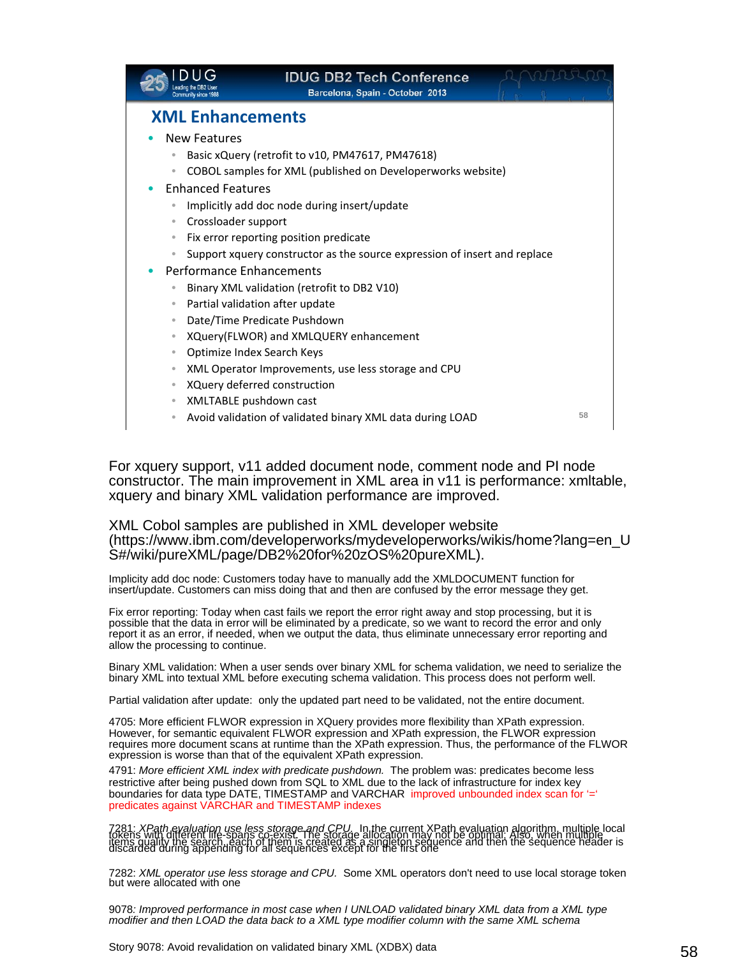|                                                                           | <b>IDUG DB2 Tech Conference</b><br>Barcelona, Spain - October 2013 |    |  |  |
|---------------------------------------------------------------------------|--------------------------------------------------------------------|----|--|--|
| <b>XML Enhancements</b>                                                   |                                                                    |    |  |  |
| New Features                                                              |                                                                    |    |  |  |
|                                                                           | Basic xQuery (retrofit to v10, PM47617, PM47618)                   |    |  |  |
| $\bullet$                                                                 | COBOL samples for XML (published on Developerworks website)        |    |  |  |
| <b>Enhanced Features</b>                                                  |                                                                    |    |  |  |
| Implicitly add doc node during insert/update                              |                                                                    |    |  |  |
| Crossloader support<br>$\bullet$                                          |                                                                    |    |  |  |
| Fix error reporting position predicate<br>$\bullet$                       |                                                                    |    |  |  |
| Support xquery constructor as the source expression of insert and replace |                                                                    |    |  |  |
| Performance Enhancements                                                  |                                                                    |    |  |  |
|                                                                           | Binary XML validation (retrofit to DB2 V10)                        |    |  |  |
|                                                                           | Partial validation after update                                    |    |  |  |
| Date/Time Predicate Pushdown<br>$\bullet$                                 |                                                                    |    |  |  |
| XQuery(FLWOR) and XMLQUERY enhancement<br>$\bullet$                       |                                                                    |    |  |  |
| Optimize Index Search Keys<br>$\qquad \qquad \bullet$                     |                                                                    |    |  |  |
| XML Operator Improvements, use less storage and CPU<br>$\bullet$          |                                                                    |    |  |  |
| $\bullet$                                                                 | XQuery deferred construction                                       |    |  |  |
| XMLTABLE pushdown cast<br>$\bullet$                                       | Avoid validation of validated binary XML data during LOAD          | 58 |  |  |
|                                                                           |                                                                    |    |  |  |

For xquery support, v11 added document node, comment node and PI node constructor. The main improvement in XML area in v11 is performance: xmltable, xquery and binary XML validation performance are improved.

XML Cobol samples are published in XML developer website (https://www.ibm.com/developerworks/mydeveloperworks/wikis/home?lang=en\_U S#/wiki/pureXML/page/DB2%20for%20zOS%20pureXML).

Implicity add doc node: Customers today have to manually add the XMLDOCUMENT function for insert/update. Customers can miss doing that and then are confused by the error message they get.

Fix error reporting: Today when cast fails we report the error right away and stop processing, but it is possible that the data in error will be eliminated by a predicate, so we want to record the error and only report it as an error, if needed, when we output the data, thus eliminate unnecessary error reporting and allow the processing to continue.

Binary XML validation: When a user sends over binary XML for schema validation, we need to serialize the binary XML into textual XML before executing schema validation. This process does not perform well.

Partial validation after update: only the updated part need to be validated, not the entire document.

4705: More efficient FLWOR expression in XQuery provides more flexibility than XPath expression. However, for semantic equivalent FLWOR expression and XPath expression, the FLWOR expression requires more document scans at runtime than the XPath expression. Thus, the performance of the FLWOR expression is worse than that of the equivalent XPath expression.

4791: *More efficient XML index with predicate pushdown.* The problem was: predicates become less restrictive after being pushed down from SQL to XML due to the lack of infrastructure for index key boundaries for data type DATE, TIMESTAMP and VARCHAR improved unbounded index scan for '=' predicates against VARCHAR and TIMESTAMP indexes

1: *XPath evaluation use less storage and CPU.* In the current XPath evaluation algorithm, multiple local<br>ins with different life-spans co-exist. The storage allocation may not be optimal: Also, when multiple<br>arded during

7282: *XML operator use less storage and CPU.* Some XML operators don't need to use local storage token but were allocated with one

9078*: Improved performance in most case when I UNLOAD validated binary XML data from a XML type modifier and then LOAD the data back to a XML type modifier column with the same XML schema*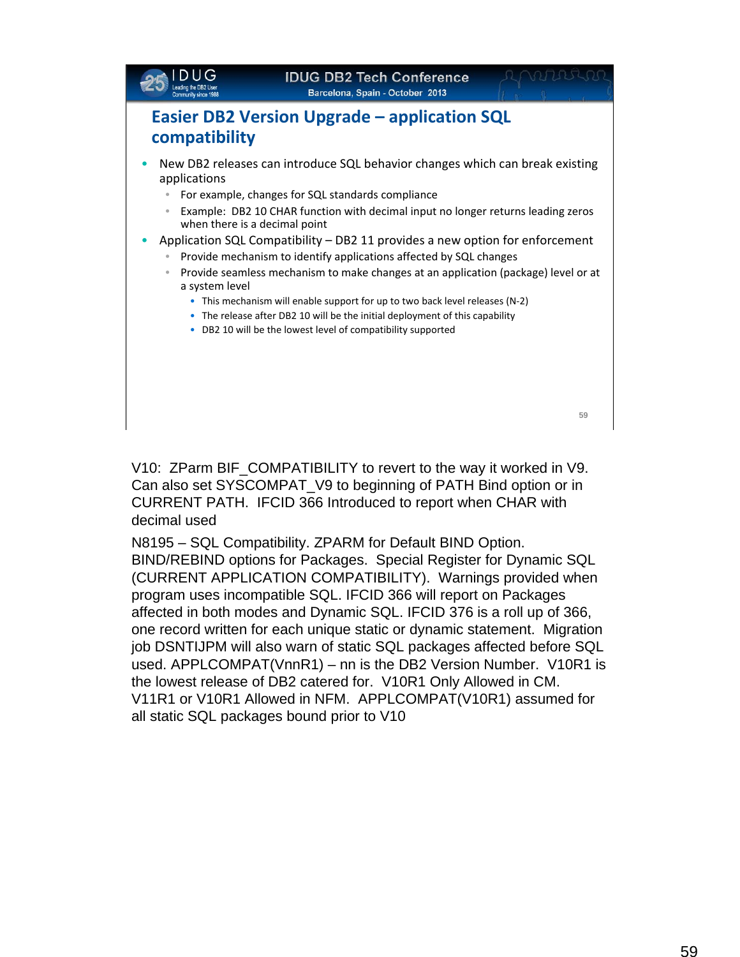

V10: ZParm BIF\_COMPATIBILITY to revert to the way it worked in V9. Can also set SYSCOMPAT\_V9 to beginning of PATH Bind option or in CURRENT PATH. IFCID 366 Introduced to report when CHAR with decimal used

N8195 – SQL Compatibility. ZPARM for Default BIND Option. BIND/REBIND options for Packages. Special Register for Dynamic SQL (CURRENT APPLICATION COMPATIBILITY). Warnings provided when program uses incompatible SQL. IFCID 366 will report on Packages affected in both modes and Dynamic SQL. IFCID 376 is a roll up of 366, one record written for each unique static or dynamic statement. Migration job DSNTIJPM will also warn of static SQL packages affected before SQL used. APPLCOMPAT(VnnR1) – nn is the DB2 Version Number. V10R1 is the lowest release of DB2 catered for. V10R1 Only Allowed in CM. V11R1 or V10R1 Allowed in NFM. APPLCOMPAT(V10R1) assumed for all static SQL packages bound prior to V10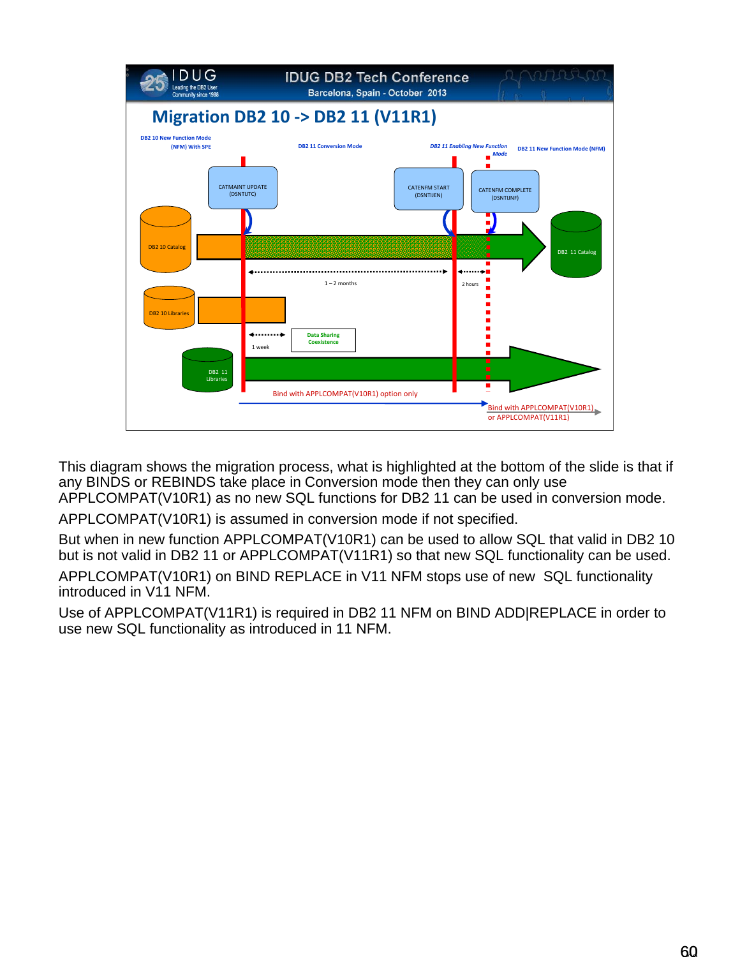

This diagram shows the migration process, what is highlighted at the bottom of the slide is that if any BINDS or REBINDS take place in Conversion mode then they can only use APPLCOMPAT(V10R1) as no new SQL functions for DB2 11 can be used in conversion mode.

APPLCOMPAT(V10R1) is assumed in conversion mode if not specified.

But when in new function APPLCOMPAT(V10R1) can be used to allow SQL that valid in DB2 10 but is not valid in DB2 11 or APPLCOMPAT(V11R1) so that new SQL functionality can be used.

APPLCOMPAT(V10R1) on BIND REPLACE in V11 NFM stops use of new SQL functionality introduced in V11 NFM.

Use of APPLCOMPAT(V11R1) is required in DB2 11 NFM on BIND ADD|REPLACE in order to use new SQL functionality as introduced in 11 NFM.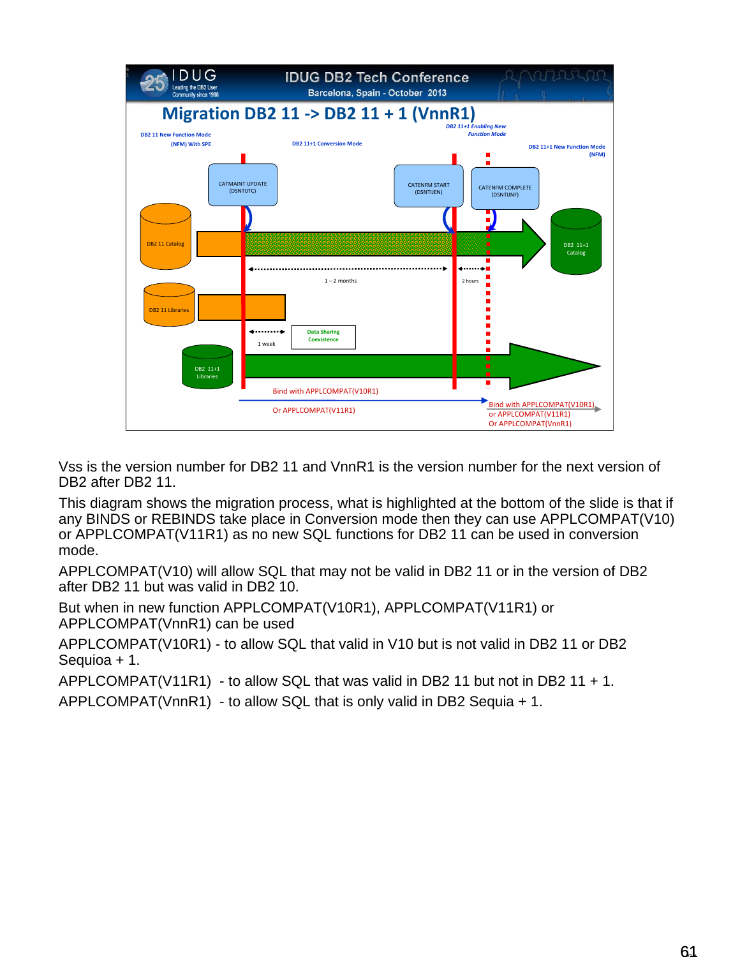

Vss is the version number for DB2 11 and VnnR1 is the version number for the next version of DB2 after DB2 11.

This diagram shows the migration process, what is highlighted at the bottom of the slide is that if any BINDS or REBINDS take place in Conversion mode then they can use APPLCOMPAT(V10) or APPLCOMPAT(V11R1) as no new SQL functions for DB2 11 can be used in conversion mode.

APPLCOMPAT(V10) will allow SQL that may not be valid in DB2 11 or in the version of DB2 after DB2 11 but was valid in DB2 10.

But when in new function APPLCOMPAT(V10R1), APPLCOMPAT(V11R1) or APPLCOMPAT(VnnR1) can be used

APPLCOMPAT(V10R1) - to allow SQL that valid in V10 but is not valid in DB2 11 or DB2 Sequioa + 1.

APPLCOMPAT(V11R1) - to allow SQL that was valid in DB2 11 but not in DB2 11 + 1.

APPLCOMPAT(VnnR1) - to allow SQL that is only valid in DB2 Sequia + 1.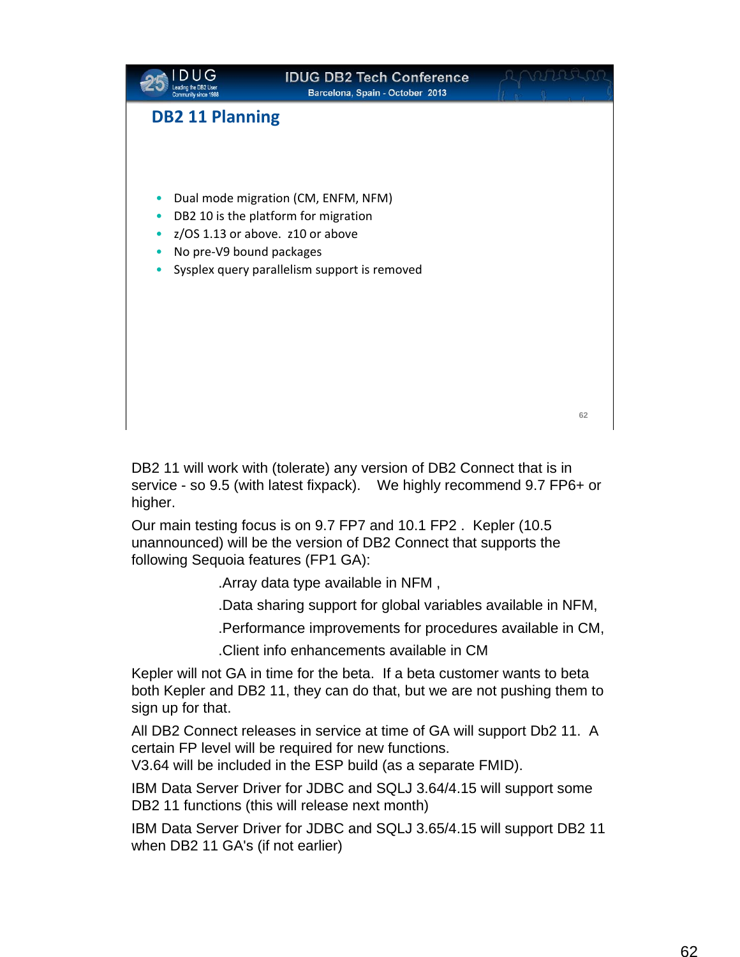

DB2 11 will work with (tolerate) any version of DB2 Connect that is in service - so 9.5 (with latest fixpack). We highly recommend 9.7 FP6+ or higher.

Our main testing focus is on 9.7 FP7 and 10.1 FP2 . Kepler (10.5 unannounced) will be the version of DB2 Connect that supports the following Sequoia features (FP1 GA):

.Array data type available in NFM ,

.Data sharing support for global variables available in NFM,

.Performance improvements for procedures available in CM,

.Client info enhancements available in CM

Kepler will not GA in time for the beta. If a beta customer wants to beta both Kepler and DB2 11, they can do that, but we are not pushing them to sign up for that.

All DB2 Connect releases in service at time of GA will support Db2 11. A certain FP level will be required for new functions.

V3.64 will be included in the ESP build (as a separate FMID).

IBM Data Server Driver for JDBC and SQLJ 3.64/4.15 will support some DB2 11 functions (this will release next month)

IBM Data Server Driver for JDBC and SQLJ 3.65/4.15 will support DB2 11 when DB2 11 GA's (if not earlier)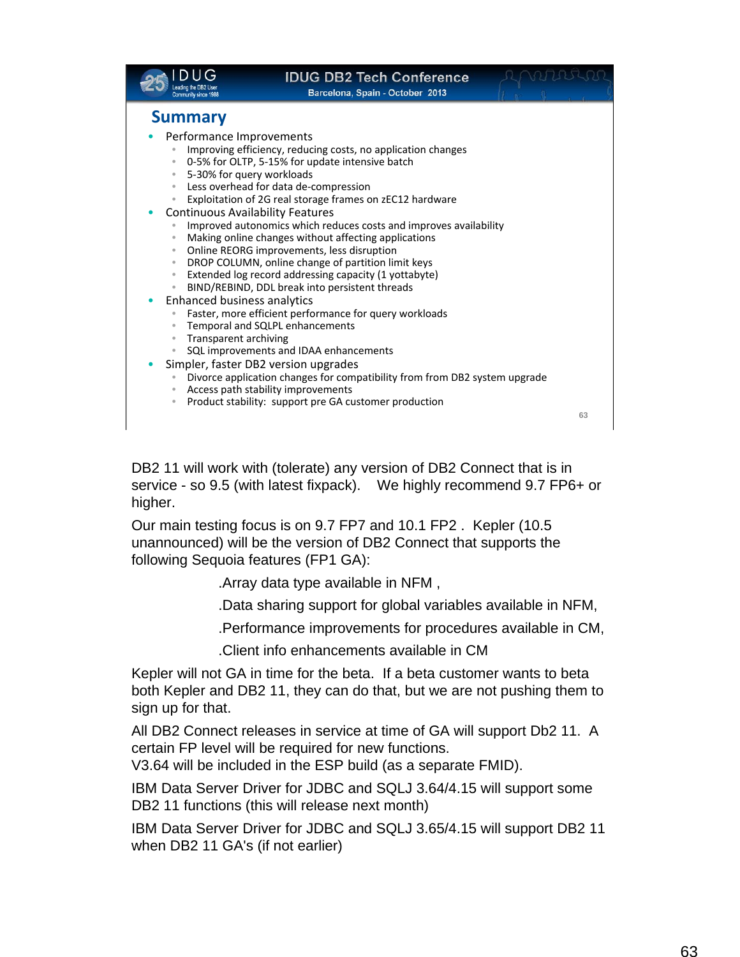|                                                                                                                                                                                                                                                                                                                                                                                               | <b>IDUG DB2 Tech Conference</b><br>Barcelona, Spain - October 2013                                                                                                                                                                                                                                                                                                                                                                                                                                                                                                                                                                                                                                      |    |
|-----------------------------------------------------------------------------------------------------------------------------------------------------------------------------------------------------------------------------------------------------------------------------------------------------------------------------------------------------------------------------------------------|---------------------------------------------------------------------------------------------------------------------------------------------------------------------------------------------------------------------------------------------------------------------------------------------------------------------------------------------------------------------------------------------------------------------------------------------------------------------------------------------------------------------------------------------------------------------------------------------------------------------------------------------------------------------------------------------------------|----|
| <b>Summary</b><br>Performance Improvements<br>$\circ$<br>5-30% for query workloads<br>$\bullet$<br>$\bullet$<br>$\bullet$<br><b>Continuous Availability Features</b><br>$\color{black} \bullet$<br>$\qquad \qquad \circ$<br>$\circ$<br>$\bullet$<br>$\color{black} \bullet$<br><b>Enhanced business analytics</b><br>$\bullet$<br>Transparent archiving<br>$\circ$<br>$\color{black} \bullet$ | Improving efficiency, reducing costs, no application changes<br>0-5% for OLTP, 5-15% for update intensive batch<br>Less overhead for data de-compression<br>Exploitation of 2G real storage frames on zEC12 hardware<br>Improved autonomics which reduces costs and improves availability<br>Making online changes without affecting applications<br>Online REORG improvements, less disruption<br>DROP COLUMN, online change of partition limit keys<br>Extended log record addressing capacity (1 yottabyte)<br>BIND/REBIND, DDL break into persistent threads<br>Faster, more efficient performance for query workloads<br>Temporal and SQLPL enhancements<br>SQL improvements and IDAA enhancements |    |
| $\circ$<br>$\bullet$                                                                                                                                                                                                                                                                                                                                                                          | Simpler, faster DB2 version upgrades<br>Divorce application changes for compatibility from from DB2 system upgrade<br>Access path stability improvements<br>Product stability: support pre GA customer production                                                                                                                                                                                                                                                                                                                                                                                                                                                                                       |    |
|                                                                                                                                                                                                                                                                                                                                                                                               |                                                                                                                                                                                                                                                                                                                                                                                                                                                                                                                                                                                                                                                                                                         | 63 |

DB2 11 will work with (tolerate) any version of DB2 Connect that is in service - so 9.5 (with latest fixpack). We highly recommend 9.7 FP6+ or higher.

Our main testing focus is on 9.7 FP7 and 10.1 FP2 . Kepler (10.5 unannounced) will be the version of DB2 Connect that supports the following Sequoia features (FP1 GA):

.Array data type available in NFM ,

.Data sharing support for global variables available in NFM,

.Performance improvements for procedures available in CM,

.Client info enhancements available in CM

Kepler will not GA in time for the beta. If a beta customer wants to beta both Kepler and DB2 11, they can do that, but we are not pushing them to sign up for that.

All DB2 Connect releases in service at time of GA will support Db2 11. A certain FP level will be required for new functions.

V3.64 will be included in the ESP build (as a separate FMID).

IBM Data Server Driver for JDBC and SQLJ 3.64/4.15 will support some DB2 11 functions (this will release next month)

IBM Data Server Driver for JDBC and SQLJ 3.65/4.15 will support DB2 11 when DB2 11 GA's (if not earlier)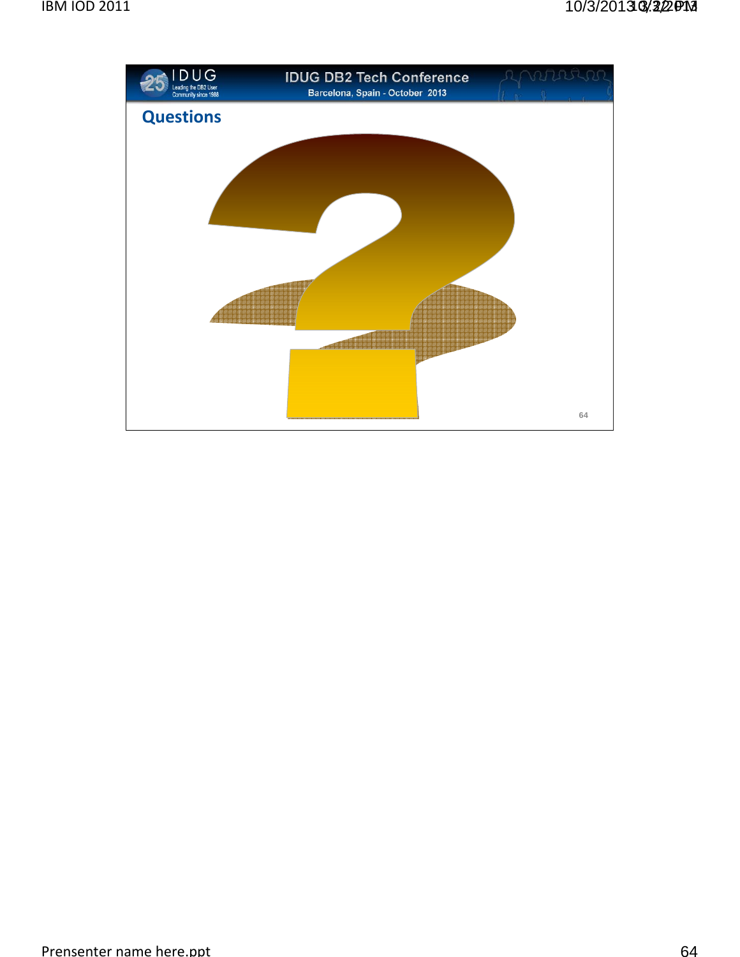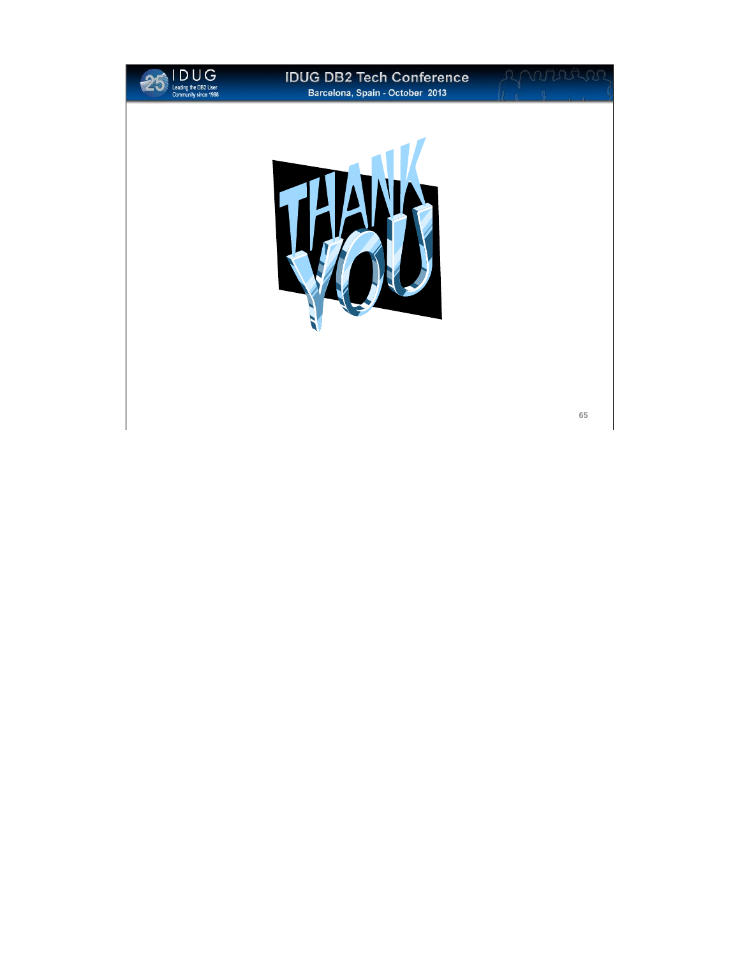

#### **IDUG DB2 Tech Conference Barcelona, Spain - October 2013**

**65**